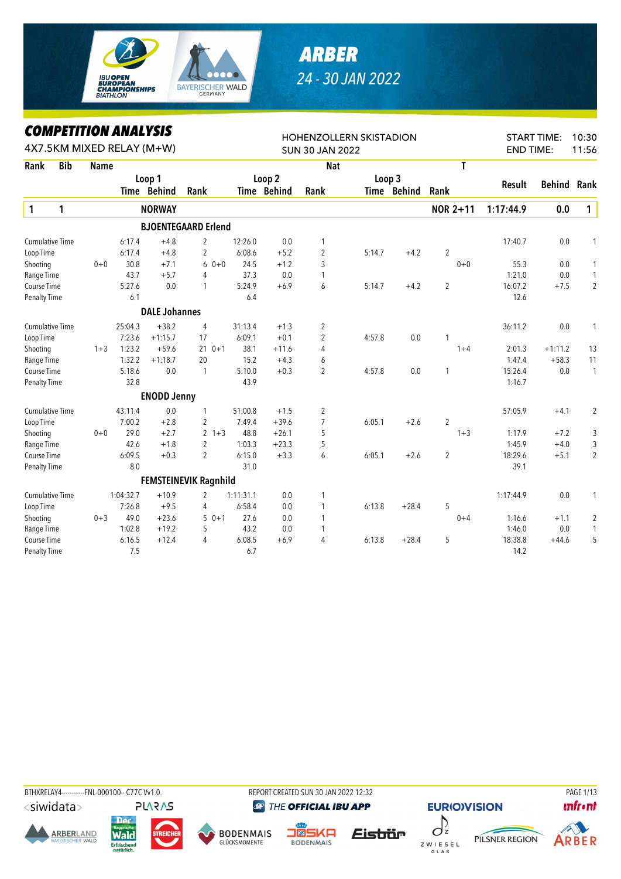

## *ARBER 24 - 30 JAN 2022*

## *COMPETITION ANALYSIS*

|                        |            | <b><i>COMPEILION ANALYSIS</i></b> |           |                           |                              |           |             | <b>HOHENZOLLERN SKISTADION</b> |        |             |                |                  | <b>START TIME:</b> | 10:30          |
|------------------------|------------|-----------------------------------|-----------|---------------------------|------------------------------|-----------|-------------|--------------------------------|--------|-------------|----------------|------------------|--------------------|----------------|
|                        |            |                                   |           | 4X7.5KM MIXED RELAY (M+W) |                              |           |             | <b>SUN 30 JAN 2022</b>         |        |             |                | <b>END TIME:</b> |                    | 11:56          |
| Rank                   | <b>Bib</b> | <b>Name</b>                       |           |                           |                              |           |             | <b>Nat</b>                     |        |             | T              |                  |                    |                |
|                        |            |                                   |           | Loop 1                    |                              |           | Loop 2      |                                |        | Loop 3      |                |                  | <b>Behind</b>      |                |
|                        |            |                                   |           | Time Behind               | Rank                         |           | Time Behind | Rank                           |        | Time Behind | Rank           | Result           |                    | Rank           |
| $\mathbf{1}$           | 1          |                                   |           | <b>NORWAY</b>             |                              |           |             |                                |        |             | NOR 2+11       | 1:17:44.9        | 0.0                | $\mathbf{1}$   |
|                        |            |                                   |           |                           | <b>BJOENTEGAARD Erlend</b>   |           |             |                                |        |             |                |                  |                    |                |
| <b>Cumulative Time</b> |            |                                   | 6:17.4    | $+4.8$                    | 2                            | 12:26.0   | 0.0         | 1                              |        |             |                | 17:40.7          | 0.0                | 1              |
| Loop Time              |            |                                   | 6:17.4    | $+4.8$                    | $\overline{2}$               | 6:08.6    | $+5.2$      | $\overline{2}$                 | 5:14.7 | $+4.2$      | $\overline{2}$ |                  |                    |                |
| Shooting               |            | $0 + 0$                           | 30.8      | $+7.1$                    | 6<br>$0 + 0$                 | 24.5      | $+1.2$      | 3                              |        |             | $0 + 0$        | 55.3             | 0.0                | 1              |
| Range Time             |            |                                   | 43.7      | $+5.7$                    | 4                            | 37.3      | 0.0         | 1                              |        |             |                | 1:21.0           | $0.0\,$            | 1              |
| Course Time            |            |                                   | 5:27.6    | 0.0                       | 1                            | 5:24.9    | $+6.9$      | 6                              | 5:14.7 | $+4.2$      | $\overline{2}$ | 16:07.2          | $+7.5$             | $\overline{2}$ |
| Penalty Time           |            |                                   | 6.1       |                           |                              | 6.4       |             |                                |        |             |                | 12.6             |                    |                |
|                        |            |                                   |           | <b>DALE Johannes</b>      |                              |           |             |                                |        |             |                |                  |                    |                |
| <b>Cumulative Time</b> |            |                                   | 25:04.3   | $+38.2$                   | $\overline{4}$               | 31:13.4   | $+1.3$      | 2                              |        |             |                | 36:11.2          | 0.0                | 1              |
| Loop Time              |            |                                   | 7:23.6    | $+1:15.7$                 | 17                           | 6:09.1    | $+0.1$      | $\overline{2}$                 | 4:57.8 | 0.0         | $\mathbf{1}$   |                  |                    |                |
| Shooting               |            | $1 + 3$                           | 1:23.2    | $+59.6$                   | 21<br>$0 + 1$                | 38.1      | $+11.6$     | 4                              |        |             | $1 + 4$        | 2:01.3           | $+1:11.2$          | 13             |
| Range Time             |            |                                   | 1:32.2    | $+1:18.7$                 | 20                           | 15.2      | $+4.3$      | 6                              |        |             |                | 1:47.4           | $+58.3$            | 11             |
| Course Time            |            |                                   | 5:18.6    | 0.0                       | 1                            | 5:10.0    | $+0.3$      | $\overline{2}$                 | 4:57.8 | 0.0         | $\mathbf{1}$   | 15:26.4          | 0.0                | $\mathbf{1}$   |
| Penalty Time           |            |                                   | 32.8      |                           |                              | 43.9      |             |                                |        |             |                | 1:16.7           |                    |                |
|                        |            |                                   |           | <b>ENODD Jenny</b>        |                              |           |             |                                |        |             |                |                  |                    |                |
| <b>Cumulative Time</b> |            |                                   | 43:11.4   | 0.0                       | 1                            | 51:00.8   | $+1.5$      | 2                              |        |             |                | 57:05.9          | $+4.1$             | $\overline{c}$ |
| Loop Time              |            |                                   | 7:00.2    | $+2.8$                    | 2                            | 7:49.4    | $+39.6$     | $\overline{7}$                 | 6:05.1 | $+2.6$      | $\overline{2}$ |                  |                    |                |
| Shooting               |            | $0 + 0$                           | 29.0      | $+2.7$                    | $2 + 3$                      | 48.8      | $+26.1$     | 5                              |        |             | $1 + 3$        | 1:17.9           | $+7.2$             | 3              |
| Range Time             |            |                                   | 42.6      | $+1.8$                    | $\overline{2}$               | 1:03.3    | $+23.3$     | 5                              |        |             |                | 1:45.9           | $+4.0$             | 3              |
| Course Time            |            |                                   | 6:09.5    | $+0.3$                    | $\overline{2}$               | 6:15.0    | $+3.3$      | 6                              | 6:05.1 | $+2.6$      | $\overline{2}$ | 18:29.6          | $+5.1$             | $\overline{2}$ |
| Penalty Time           |            |                                   | 8.0       |                           |                              | 31.0      |             |                                |        |             |                | 39.1             |                    |                |
|                        |            |                                   |           |                           | <b>FEMSTEINEVIK Ragnhild</b> |           |             |                                |        |             |                |                  |                    |                |
| <b>Cumulative Time</b> |            |                                   | 1:04:32.7 | $+10.9$                   | 2                            | 1:11:31.1 | 0.0         | 1                              |        |             |                | 1:17:44.9        | 0.0                | 1              |
| Loop Time              |            |                                   | 7:26.8    | $+9.5$                    | 4                            | 6:58.4    | 0.0         | 1                              | 6:13.8 | $+28.4$     | 5              |                  |                    |                |
| Shooting               |            | $0 + 3$                           | 49.0      | $+23.6$                   | $50+1$                       | 27.6      | 0.0         | $\mathbf{1}$                   |        |             | $0 + 4$        | 1:16.6           | $+1.1$             | 2              |
| Range Time             |            |                                   | 1:02.8    | $+19.2$                   | 5                            | 43.2      | 0.0         | 1                              |        |             |                | 1:46.0           | $0.0\,$            | $\mathbf{1}$   |
| Course Time            |            |                                   | 6:16.5    | $+12.4$                   | 4                            | 6:08.5    | $+6.9$      | 4                              | 6:13.8 | $+28.4$     | 5              | 18:38.8          | $+44.6$            | 5              |
| <b>Penalty Time</b>    |            |                                   | 7.5       |                           |                              | 6.7       |             |                                |        |             |                | 14.2             |                    |                |

BTHXRELAY4------------FNL-000100-- C77C Vv1.0. REPORT CREATED SUN 30 JAN 2022 12:32 PAGE 1/13PLARAS

<siwidata>











THE OFFICIAL IBU APP

Eistrür



**EURIO)VISION** 



PILSNER REGION

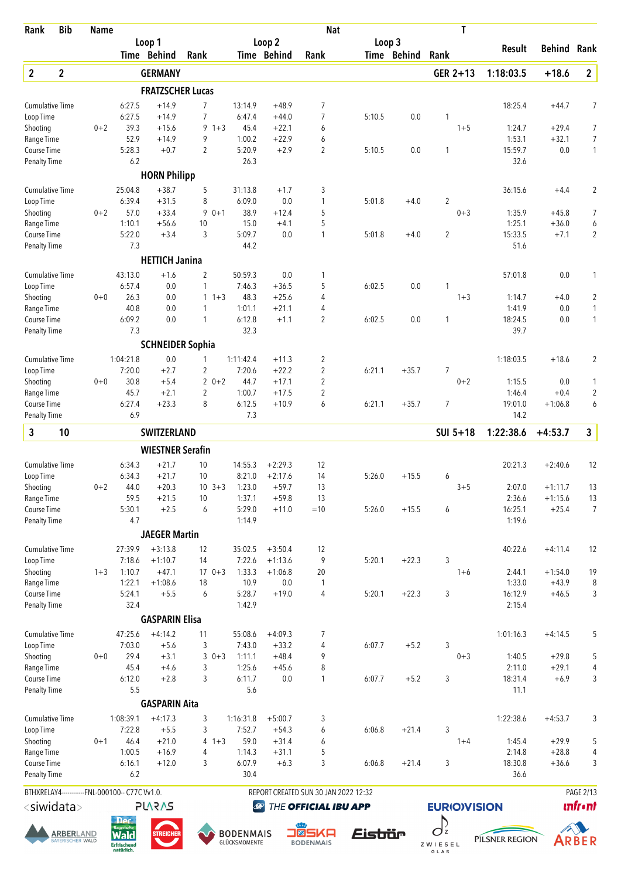| Rank                                | <b>Bib</b>                                   | <b>Name</b> |                                                |                         |                   |                                   |                       | <b>Nat</b>                           |         |             | Τ                                  |                   |                    |                     |
|-------------------------------------|----------------------------------------------|-------------|------------------------------------------------|-------------------------|-------------------|-----------------------------------|-----------------------|--------------------------------------|---------|-------------|------------------------------------|-------------------|--------------------|---------------------|
|                                     |                                              |             |                                                | Loop 1<br>Time Behind   | Rank              |                                   | Loop 2<br>Time Behind | Rank                                 | Loop 3  | Time Behind | Rank                               | Result            | <b>Behind</b>      | Rank                |
|                                     |                                              |             |                                                |                         |                   |                                   |                       |                                      |         |             |                                    |                   |                    |                     |
| $\boldsymbol{2}$                    | $\mathbf 2$                                  |             |                                                | <b>GERMANY</b>          |                   |                                   |                       |                                      |         |             | GER 2+13                           | 1:18:03.5         | $+18.6$            | $\mathbf{2}$        |
|                                     |                                              |             |                                                | <b>FRATZSCHER Lucas</b> |                   |                                   |                       |                                      |         |             |                                    |                   |                    |                     |
| <b>Cumulative Time</b><br>Loop Time |                                              |             | 6:27.5<br>6:27.5                               | $+14.9$<br>$+14.9$      | 7<br>7            | 13:14.9<br>6:47.4                 | $+48.9$<br>$+44.0$    | 7<br>$\overline{7}$                  | 5:10.5  | 0.0         | 1                                  | 18:25.4           | $+44.7$            | 7                   |
| Shooting                            |                                              | $0 + 2$     | 39.3                                           | $+15.6$                 | $9 + 3$           | 45.4                              | $+22.1$               | 6                                    |         |             | $1 + 5$                            | 1:24.7            | $+29.4$            | $\overline{7}$      |
| Range Time                          |                                              |             | 52.9                                           | $+14.9$                 | 9                 | 1:00.2                            | $+22.9$               | 6                                    |         |             |                                    | 1:53.1            | $+32.1$            | $\overline{7}$      |
| Course Time                         |                                              |             | 5:28.3                                         | $+0.7$                  | $\overline{2}$    | 5:20.9                            | $+2.9$                | $\overline{2}$                       | 5:10.5  | 0.0         | 1                                  | 15:59.7           | 0.0                | $\mathbf{1}$        |
| Penalty Time                        |                                              |             | 6.2                                            |                         |                   | 26.3                              |                       |                                      |         |             |                                    | 32.6              |                    |                     |
|                                     |                                              |             |                                                | <b>HORN Philipp</b>     |                   |                                   |                       |                                      |         |             |                                    |                   |                    |                     |
| <b>Cumulative Time</b>              |                                              |             | 25:04.8                                        | $+38.7$                 | 5                 | 31:13.8                           | $+1.7$                | 3                                    |         |             |                                    | 36:15.6           | $+4.4$             | $\overline{2}$      |
| Loop Time<br>Shooting               |                                              | $0 + 2$     | 6:39.4<br>57.0                                 | $+31.5$<br>$+33.4$      | 8<br>$0 + 1$<br>9 | 6:09.0<br>38.9                    | 0.0<br>$+12.4$        | 1<br>5                               | 5:01.8  | $+4.0$      | $\overline{c}$<br>$0 + 3$          | 1:35.9            | $+45.8$            | 7                   |
| Range Time                          |                                              |             | 1:10.1                                         | $+56.6$                 | 10                | 15.0                              | $+4.1$                | 5                                    |         |             |                                    | 1:25.1            | $+36.0$            | 6                   |
| <b>Course Time</b>                  |                                              |             | 5:22.0                                         | $+3.4$                  | 3                 | 5:09.7                            | 0.0                   | 1                                    | 5:01.8  | $+4.0$      | 2                                  | 15:33.5           | $+7.1$             | $\overline{2}$      |
| <b>Penalty Time</b>                 |                                              |             | 7.3                                            |                         |                   | 44.2                              |                       |                                      |         |             |                                    | 51.6              |                    |                     |
|                                     |                                              |             |                                                | <b>HETTICH Janina</b>   |                   |                                   |                       |                                      |         |             |                                    |                   |                    |                     |
| <b>Cumulative Time</b>              |                                              |             | 43:13.0                                        | $+1.6$                  | 2                 | 50:59.3                           | 0.0                   | 1                                    |         |             |                                    | 57:01.8           | 0.0                | 1                   |
| Loop Time                           |                                              |             | 6:57.4                                         | 0.0                     | 1                 | 7:46.3                            | $+36.5$               | 5                                    | 6:02.5  | 0.0         | 1                                  |                   |                    |                     |
| Shooting                            |                                              | $0 + 0$     | 26.3                                           | 0.0                     | $1 + 3$           | 48.3                              | $+25.6$               | 4                                    |         |             | $1 + 3$                            | 1:14.7            | $+4.0$             | $\overline{2}$      |
| Range Time                          |                                              |             | 40.8                                           | 0.0                     | $\mathbf{1}$      | 1:01.1                            | $+21.1$               | 4                                    |         |             |                                    | 1:41.9            | 0.0                | 1                   |
| Course Time<br><b>Penalty Time</b>  |                                              |             | 6:09.2<br>7.3                                  | 0.0                     | 1                 | 6:12.8<br>32.3                    | $+1.1$                | 2                                    | 6:02.5  | 0.0         | 1                                  | 18:24.5<br>39.7   | 0.0                | $\mathbf{1}$        |
|                                     |                                              |             |                                                | <b>SCHNEIDER Sophia</b> |                   |                                   |                       |                                      |         |             |                                    |                   |                    |                     |
| <b>Cumulative Time</b>              |                                              |             | 1:04:21.8                                      | 0.0                     | 1                 | 1:11:42.4                         | $+11.3$               | 2                                    |         |             |                                    | 1:18:03.5         | $+18.6$            | $\overline{2}$      |
| Loop Time                           |                                              |             | 7:20.0                                         | $+2.7$                  | 2                 | 7:20.6                            | $+22.2$               | $\overline{2}$                       | 6:21.1  | $+35.7$     | 7                                  |                   |                    |                     |
| Shooting                            |                                              | $0 + 0$     | 30.8                                           | $+5.4$                  | $20+2$            | 44.7                              | $+17.1$               | 2                                    |         |             | $0 + 2$                            | 1:15.5            | 0.0                | 1                   |
| Range Time                          |                                              |             | 45.7                                           | $+2.1$                  | 2                 | 1:00.7                            | $+17.5$               | $\overline{2}$                       |         |             |                                    | 1:46.4            | $+0.4$             | $\overline{2}$      |
| Course Time                         |                                              |             | 6:27.4                                         | $+23.3$                 | 8                 | 6:12.5                            | $+10.9$               | 6                                    | 6:21.1  | $+35.7$     | 7                                  | 19:01.0           | $+1:06.8$          | 6                   |
| <b>Penalty Time</b>                 |                                              |             | 6.9                                            |                         |                   | 7.3                               |                       |                                      |         |             |                                    | 14.2              |                    |                     |
| 3                                   | 10                                           |             |                                                | <b>SWITZERLAND</b>      |                   |                                   |                       |                                      |         |             | SUI 5+18                           | 1:22:38.6         | $+4:53.7$          | 3                   |
|                                     |                                              |             |                                                | <b>WIESTNER Serafin</b> |                   |                                   |                       |                                      |         |             |                                    |                   |                    |                     |
| <b>Cumulative Time</b>              |                                              |             | 6:34.3                                         | $+21.7$                 | 10                | 14:55.3                           | $+2:29.3$             | 12                                   |         |             |                                    | 20:21.3           | $+2:40.6$          | 12                  |
| Loop Time                           |                                              |             | 6:34.3                                         | $+21.7$                 | 10                | 8:21.0                            | $+2:17.6$             | 14                                   | 5:26.0  | $+15.5$     | 6                                  |                   |                    |                     |
| Shooting                            |                                              | $0 + 2$     | 44.0                                           | $+20.3$                 | $10 \t3+3$        | 1:23.0                            | $+59.7$               | 13                                   |         |             | $3 + 5$                            | 2:07.0            | $+1:11.7$          | 13                  |
| Range Time                          |                                              |             | 59.5                                           | $+21.5$                 | 10                | 1:37.1                            | $+59.8$               | 13                                   |         |             |                                    | 2:36.6            | $+1:15.6$          | 13                  |
| Course Time<br><b>Penalty Time</b>  |                                              |             | 5:30.1<br>4.7                                  | $+2.5$                  | 6                 | 5:29.0<br>1:14.9                  | $+11.0$               | $=10$                                | 5:26.0  | $+15.5$     | 6                                  | 16:25.1<br>1:19.6 | $+25.4$            | $\overline{7}$      |
|                                     |                                              |             |                                                | <b>JAEGER Martin</b>    |                   |                                   |                       |                                      |         |             |                                    |                   |                    |                     |
| <b>Cumulative Time</b>              |                                              |             | 27:39.9                                        | $+3:13.8$               | 12                | 35:02.5                           | $+3:50.4$             | 12                                   |         |             |                                    | 40:22.6           | $+4:11.4$          | 12                  |
| Loop Time                           |                                              |             | 7:18.6                                         | $+1:10.7$               | 14                | 7:22.6                            | $+1:13.6$             | 9                                    | 5:20.1  | $+22.3$     | 3                                  |                   |                    |                     |
| Shooting                            |                                              | $1 + 3$     | 1:10.7                                         | $+47.1$                 | $170+3$           | 1:33.3                            | $+1:06.8$             | 20                                   |         |             | $1 + 6$                            | 2:44.1            | $+1:54.0$          | 19                  |
| Range Time                          |                                              |             | 1:22.1                                         | $+1:08.6$               | 18                | 10.9                              | $0.0\,$               | 1                                    |         |             |                                    | 1:33.0            | $+43.9$            | 8                   |
| Course Time                         |                                              |             | 5:24.1                                         | $+5.5$                  | 6                 | 5:28.7                            | $+19.0$               | 4                                    | 5:20.1  | $+22.3$     | 3                                  | 16:12.9           | $+46.5$            | 3                   |
| <b>Penalty Time</b>                 |                                              |             | 32.4                                           |                         |                   | 1:42.9                            |                       |                                      |         |             |                                    | 2:15.4            |                    |                     |
|                                     |                                              |             |                                                | <b>GASPARIN Elisa</b>   |                   |                                   |                       |                                      |         |             |                                    |                   |                    |                     |
| <b>Cumulative Time</b>              |                                              |             | 47:25.6                                        | $+4:14.2$               | 11                | 55:08.6                           | $+4:09.3$             | 7                                    |         |             |                                    | 1:01:16.3         | $+4:14.5$          | 5                   |
| Loop Time                           |                                              |             | 7:03.0                                         | $+5.6$                  | 3                 | 7:43.0                            | $+33.2$               | 4                                    | 6:07.7  | $+5.2$      | 3                                  |                   |                    |                     |
| Shooting<br>Range Time              |                                              | $0 + 0$     | 29.4<br>45.4                                   | $+3.1$<br>$+4.6$        | $30+3$<br>3       | 1:11.1<br>1:25.6                  | $+48.4$<br>$+45.6$    | 9<br>8                               |         |             | $0 + 3$                            | 1:40.5<br>2:11.0  | $+29.8$<br>$+29.1$ | 5<br>4              |
| Course Time                         |                                              |             | 6:12.0                                         | $+2.8$                  | 3                 | 6:11.7                            | $0.0\,$               | 1                                    | 6:07.7  | $+5.2$      | 3                                  | 18:31.4           | $+6.9$             | 3                   |
| <b>Penalty Time</b>                 |                                              |             | 5.5                                            |                         |                   | 5.6                               |                       |                                      |         |             |                                    | 11.1              |                    |                     |
|                                     |                                              |             |                                                | <b>GASPARIN Aita</b>    |                   |                                   |                       |                                      |         |             |                                    |                   |                    |                     |
| <b>Cumulative Time</b>              |                                              |             | 1:08:39.1                                      | $+4:17.3$               | 3                 | 1:16:31.8                         | $+5:00.7$             | 3                                    |         |             |                                    | 1:22:38.6         | $+4:53.7$          | 3                   |
| Loop Time                           |                                              |             | 7:22.8                                         | $+5.5$                  | 3                 | 7:52.7                            | $+54.3$               | 6                                    | 6:06.8  | $+21.4$     | 3                                  |                   |                    |                     |
| Shooting                            |                                              | $0 + 1$     | 46.4                                           | $+21.0$                 | $4 + 3$           | 59.0                              | $+31.4$               | 6                                    |         |             | $1 + 4$                            | 1:45.4            | $+29.9$            | 5                   |
| Range Time<br>Course Time           |                                              |             | 1:00.5<br>6:16.1                               | $+16.9$<br>$+12.0$      | 4<br>3            | 1:14.3<br>6:07.9                  | $+31.1$<br>$+6.3$     | 5<br>3                               | 6:06.8  | $+21.4$     | 3                                  | 2:14.8<br>18:30.8 | $+28.8$<br>$+36.6$ | $\overline{4}$<br>3 |
| <b>Penalty Time</b>                 |                                              |             | 6.2                                            |                         |                   | 30.4                              |                       |                                      |         |             |                                    | 36.6              |                    |                     |
|                                     |                                              |             | BTHXRELAY4------------FNL-000100-- C77C Vv1.0. |                         |                   |                                   |                       | REPORT CREATED SUN 30 JAN 2022 12:32 |         |             |                                    |                   |                    | PAGE 2/13           |
| <siwidata></siwidata>               |                                              |             |                                                | <b>PLARAS</b>           |                   | $\bigcirc$                        |                       | THE OFFICIAL IBU APP                 |         |             | <b>EURIO)VISION</b>                |                   |                    | <b>unfr</b> •nt     |
|                                     |                                              |             | <b>Der</b>                                     |                         |                   |                                   |                       |                                      |         |             |                                    |                   |                    |                     |
|                                     | <b>ARBER</b> LAND<br><b>BAYERISCHER WALD</b> |             | <b>Wald</b><br>Erfrischend<br>natürlich.       | <b>STREICHER</b>        |                   | <b>BODENMAIS</b><br>GLÜCKSMOMENTE | ■⊠                    | 5KA<br><b>BODENMAIS</b>              | Eistiür |             | $\int_{\Sigma}$<br>ZWIESEL<br>GLAS | PILSNER REGION    |                    | ARBER               |





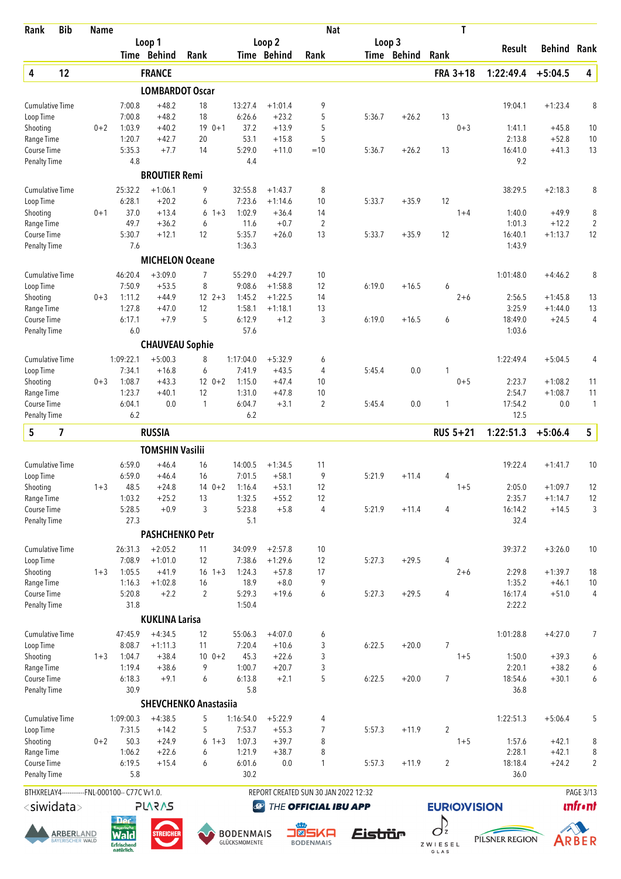| Rank                                | <b>Bib</b>                           | <b>Name</b> |                                                                     |                        |                              |                                   |                        | <b>Nat</b>                           |                 |             | Τ                              |                   |                        |                     |
|-------------------------------------|--------------------------------------|-------------|---------------------------------------------------------------------|------------------------|------------------------------|-----------------------------------|------------------------|--------------------------------------|-----------------|-------------|--------------------------------|-------------------|------------------------|---------------------|
|                                     |                                      |             |                                                                     | Loop 1<br>Time Behind  | Rank                         |                                   | Loop 2<br>Time Behind  | Rank                                 | Loop 3          | Time Behind | Rank                           | Result            | <b>Behind Rank</b>     |                     |
| 4                                   | 12                                   |             |                                                                     | <b>FRANCE</b>          |                              |                                   |                        |                                      |                 |             | FRA 3+18                       | 1:22:49.4         | $+5:04.5$              | 4                   |
|                                     |                                      |             |                                                                     | <b>LOMBARDOT Oscar</b> |                              |                                   |                        |                                      |                 |             |                                |                   |                        |                     |
| <b>Cumulative Time</b>              |                                      |             | 7:00.8                                                              | $+48.2$                | 18                           | 13:27.4                           | $+1:01.4$              | 9                                    |                 |             |                                | 19:04.1           | $+1:23.4$              | 8                   |
| Loop Time                           |                                      |             | 7:00.8                                                              | $+48.2$                | 18                           | 6:26.6                            | $+23.2$                | 5                                    | 5:36.7          | $+26.2$     | 13                             |                   |                        |                     |
| Shooting                            |                                      | $0 + 2$     | 1:03.9                                                              | $+40.2$                | $190+1$                      | 37.2                              | $+13.9$                | 5                                    |                 |             | $0 + 3$                        | 1:41.1            | $+45.8$                | 10                  |
| Range Time<br>Course Time           |                                      |             | 1:20.7<br>5:35.3                                                    | $+42.7$<br>$+7.7$      | 20<br>14                     | 53.1<br>5:29.0                    | $+15.8$<br>$+11.0$     | 5<br>$=10$                           | 5:36.7          | $+26.2$     | 13                             | 2:13.8<br>16:41.0 | $+52.8$<br>$+41.3$     | 10<br>13            |
| <b>Penalty Time</b>                 |                                      |             | 4.8                                                                 |                        |                              | 4.4                               |                        |                                      |                 |             |                                | 9.2               |                        |                     |
|                                     |                                      |             |                                                                     | <b>BROUTIER Remi</b>   |                              |                                   |                        |                                      |                 |             |                                |                   |                        |                     |
| <b>Cumulative Time</b>              |                                      |             | 25:32.2                                                             | $+1:06.1$              | 9                            | 32:55.8                           | $+1:43.7$              | 8                                    |                 |             |                                | 38:29.5           | $+2:18.3$              | 8                   |
| Loop Time                           |                                      | $0 + 1$     | 6:28.1<br>37.0                                                      | $+20.2$<br>$+13.4$     | 6<br>6<br>$1 + 3$            | 7:23.6<br>1:02.9                  | $+1:14.6$              | 10<br>14                             | 5:33.7          | $+35.9$     | 12                             |                   | $+49.9$                |                     |
| Shooting<br>Range Time              |                                      |             | 49.7                                                                | $+36.2$                | 6                            | 11.6                              | $+36.4$<br>$+0.7$      | $\overline{2}$                       |                 |             | $1 + 4$                        | 1:40.0<br>1:01.3  | $+12.2$                | 8<br>$\overline{2}$ |
| Course Time                         |                                      |             | 5:30.7                                                              | $+12.1$                | 12                           | 5:35.7                            | $+26.0$                | 13                                   | 5:33.7          | $+35.9$     | 12                             | 16:40.1           | $+1:13.7$              | 12                  |
| <b>Penalty Time</b>                 |                                      |             | 7.6                                                                 |                        |                              | 1:36.3                            |                        |                                      |                 |             |                                | 1:43.9            |                        |                     |
|                                     |                                      |             |                                                                     | <b>MICHELON Oceane</b> |                              |                                   |                        |                                      |                 |             |                                |                   |                        |                     |
| <b>Cumulative Time</b>              |                                      |             | 46:20.4                                                             | $+3:09.0$              | 7                            | 55:29.0                           | $+4:29.7$              | 10                                   |                 |             |                                | 1:01:48.0         | $+4:46.2$              | 8                   |
| Loop Time                           |                                      |             | 7:50.9                                                              | $+53.5$                | 8                            | 9:08.6                            | $+1:58.8$              | 12                                   | 6:19.0          | $+16.5$     | 6                              |                   |                        |                     |
| Shooting<br>Range Time              |                                      | $0 + 3$     | 1:11.2<br>1:27.8                                                    | $+44.9$<br>$+47.0$     | $12 \t2+3$<br>12             | 1:45.2<br>1:58.1                  | $+1:22.5$<br>$+1:18.1$ | 14<br>13                             |                 |             | $2 + 6$                        | 2:56.5<br>3:25.9  | $+1:45.8$<br>$+1:44.0$ | 13<br>13            |
| Course Time                         |                                      |             | 6:17.1                                                              | $+7.9$                 | 5                            | 6:12.9                            | $+1.2$                 | 3                                    | 6:19.0          | $+16.5$     | 6                              | 18:49.0           | $+24.5$                | $\overline{4}$      |
| <b>Penalty Time</b>                 |                                      |             | 6.0                                                                 |                        |                              | 57.6                              |                        |                                      |                 |             |                                | 1:03.6            |                        |                     |
|                                     |                                      |             |                                                                     | <b>CHAUVEAU Sophie</b> |                              |                                   |                        |                                      |                 |             |                                |                   |                        |                     |
| <b>Cumulative Time</b>              |                                      |             | 1:09:22.1                                                           | $+5:00.3$              | 8                            | 1:17:04.0                         | $+5:32.9$              | 6                                    |                 |             |                                | 1:22:49.4         | $+5:04.5$              | 4                   |
| Loop Time                           |                                      |             | 7:34.1                                                              | $+16.8$                | 6                            | 7:41.9                            | $+43.5$                | 4                                    | 5:45.4          | 0.0         | 1                              |                   |                        |                     |
| Shooting                            |                                      | $0 + 3$     | 1:08.7                                                              | $+43.3$                | $12 \t 0+2$                  | 1:15.0                            | $+47.4$                | 10                                   |                 |             | $0 + 5$                        | 2:23.7            | $+1:08.2$              | 11                  |
| Range Time                          |                                      |             | 1:23.7                                                              | $+40.1$<br>0.0         | 12<br>1                      | 1:31.0<br>6:04.7                  | $+47.8$                | 10<br>2                              |                 |             | 1                              | 2:54.7<br>17:54.2 | $+1:08.7$<br>0.0       | 11                  |
| Course Time<br><b>Penalty Time</b>  |                                      |             | 6:04.1<br>6.2                                                       |                        |                              | 6.2                               | $+3.1$                 |                                      | 5:45.4          | 0.0         |                                | 12.5              |                        | 1                   |
| 5                                   | 7                                    |             |                                                                     | <b>RUSSIA</b>          |                              |                                   |                        |                                      |                 |             | <b>RUS 5+21</b>                | 1:22:51.3         | $+5:06.4$              | 5                   |
|                                     |                                      |             |                                                                     | <b>TOMSHIN Vasilii</b> |                              |                                   |                        |                                      |                 |             |                                |                   |                        |                     |
| <b>Cumulative Time</b>              |                                      |             | 6:59.0                                                              | $+46.4$                | 16                           | 14:00.5                           | $+1:34.5$              | 11                                   |                 |             |                                | 19:22.4           | $+1:41.7$              | 10                  |
| Loop Time                           |                                      |             | 6:59.0                                                              | $+46.4$                | 16                           | 7:01.5                            | $+58.1$                | 9                                    | 5:21.9          | $+11.4$     | 4                              |                   |                        |                     |
| Shooting                            |                                      | $1 + 3$     | 48.5                                                                | $+24.8$                | $140+2$                      | 1:16.4                            | $+53.1$                | 12                                   |                 |             | $1 + 5$                        | 2:05.0            | $+1:09.7$              | 12                  |
| Range Time                          |                                      |             | 1:03.2                                                              | $+25.2$                | 13                           | 1:32.5                            | $+55.2$                | 12                                   |                 |             |                                | 2:35.7            | $+1:14.7$              | 12                  |
| Course Time                         |                                      |             | 5:28.5                                                              | $+0.9$                 | 3                            | 5:23.8                            | $+5.8$                 | $\overline{4}$                       | 5:21.9          | $+11.4$     | 4                              | 16:14.2           | $+14.5$                | 3                   |
| Penalty Time                        |                                      |             | 27.3                                                                | <b>PASHCHENKO Petr</b> |                              | 5.1                               |                        |                                      |                 |             |                                | 32.4              |                        |                     |
|                                     |                                      |             |                                                                     |                        |                              |                                   |                        |                                      |                 |             |                                |                   |                        |                     |
| <b>Cumulative Time</b><br>Loop Time |                                      |             | 26:31.3<br>7:08.9                                                   | $+2:05.2$<br>$+1:01.0$ | 11<br>12                     | 34:09.9<br>7:38.6                 | $+2:57.8$<br>$+1:29.6$ | 10<br>12                             | 5:27.3          | $+29.5$     | 4                              | 39:37.2           | $+3:26.0$              | 10                  |
| Shooting                            |                                      | $1 + 3$     | 1:05.5                                                              | $+41.9$                | $16 \t1+3$                   | 1:24.3                            | $+57.8$                | 17                                   |                 |             | $2 + 6$                        | 2:29.8            | $+1:39.7$              | 18                  |
| Range Time                          |                                      |             | 1:16.3                                                              | $+1:02.8$              | 16                           | 18.9                              | $+8.0$                 | 9                                    |                 |             |                                | 1:35.2            | $+46.1$                | $10$                |
| Course Time                         |                                      |             | 5:20.8                                                              | $+2.2$                 | $\overline{2}$               | 5:29.3                            | $+19.6$                | 6                                    | 5:27.3          | $+29.5$     | $\overline{4}$                 | 16:17.4           | $+51.0$                | $\overline{4}$      |
| <b>Penalty Time</b>                 |                                      |             | 31.8                                                                |                        |                              | 1:50.4                            |                        |                                      |                 |             |                                | 2:22.2            |                        |                     |
|                                     |                                      |             |                                                                     | <b>KUKLINA Larisa</b>  |                              |                                   |                        |                                      |                 |             |                                |                   |                        |                     |
| <b>Cumulative Time</b>              |                                      |             | 47:45.9                                                             | $+4:34.5$              | 12                           | 55:06.3                           | $+4:07.0$              | 6                                    |                 |             |                                | 1:01:28.8         | $+4:27.0$              | 7                   |
| Loop Time<br>Shooting               |                                      | $1 + 3$     | 8:08.7<br>1:04.7                                                    | $+1:11.3$<br>$+38.4$   | 11<br>$10 \t 0+2$            | 7:20.4<br>45.3                    | $+10.6$<br>$+22.6$     | 3<br>3                               | 6:22.5          | $+20.0$     | 7<br>$1 + 5$                   | 1:50.0            | $+39.3$                | 6                   |
| Range Time                          |                                      |             | 1:19.4                                                              | $+38.6$                | 9                            | 1:00.7                            | $+20.7$                | 3                                    |                 |             |                                | 2:20.1            | $+38.2$                | 6                   |
| Course Time                         |                                      |             | 6:18.3                                                              | $+9.1$                 | 6                            | 6:13.8                            | $+2.1$                 | 5                                    | 6:22.5          | $+20.0$     | $\overline{7}$                 | 18:54.6           | $+30.1$                | 6                   |
| <b>Penalty Time</b>                 |                                      |             | 30.9                                                                |                        |                              | 5.8                               |                        |                                      |                 |             |                                | 36.8              |                        |                     |
|                                     |                                      |             |                                                                     |                        | <b>SHEVCHENKO Anastasiia</b> |                                   |                        |                                      |                 |             |                                |                   |                        |                     |
| <b>Cumulative Time</b><br>Loop Time |                                      |             | 1:09:00.3<br>7:31.5                                                 | $+4:38.5$<br>$+14.2$   | 5<br>5                       | 1:16:54.0<br>7:53.7               | $+5:22.9$<br>$+55.3$   | 4<br>7                               | 5:57.3          | $+11.9$     | $\overline{2}$                 | 1:22:51.3         | $+5:06.4$              | 5                   |
| Shooting                            |                                      | $0 + 2$     | 50.3                                                                | $+24.9$                | $6 + 3$                      | 1:07.3                            | $+39.7$                | 8                                    |                 |             | $1 + 5$                        | 1:57.6            | $+42.1$                | 8                   |
| Range Time                          |                                      |             | 1:06.2                                                              | $+22.6$                | 6                            | 1:21.9                            | $+38.7$                | 8                                    |                 |             |                                | 2:28.1            | $+42.1$                | 8                   |
| Course Time                         |                                      |             | 6:19.5                                                              | $+15.4$                | 6                            | 6:01.6                            | 0.0                    | $\mathbf{1}$                         | 5:57.3          | $+11.9$     | $\overline{2}$                 | 18:18.4           | $+24.2$                | 2                   |
| Penalty Time                        |                                      |             | 5.8                                                                 |                        |                              | 30.2                              |                        |                                      |                 |             |                                | 36.0              |                        |                     |
|                                     |                                      |             | BTHXRELAY4------------FNL-000100-- C77C Vv1.0.                      |                        |                              |                                   |                        | REPORT CREATED SUN 30 JAN 2022 12:32 |                 |             |                                |                   |                        | PAGE 3/13           |
| <siwidata></siwidata>               |                                      |             | <b>Der</b>                                                          | <b>PLARAS</b>          |                              | $\bigcirc$                        |                        | THE OFFICIAL IBU APP                 |                 |             | <b>EURIO)VISION</b>            |                   |                        | <b>unfr</b> •nt     |
|                                     | <b>ARBER</b> LAND<br>AYERISCHER WALD |             | <b>Rayerisch</b><br><b>Wald</b><br><b>Erfrischend</b><br>natürlich. | <b>STREICHE</b>        |                              | <b>BODENMAIS</b><br>GLÜCKSMOMENTE | $\blacksquare$         | 5KA<br><b>BODENMAIS</b>              | <u> Eiströr</u> |             | $O_{\rm z}$<br>ZWIESEL<br>GLAS | PILSNER REGION    |                        | ARBER               |





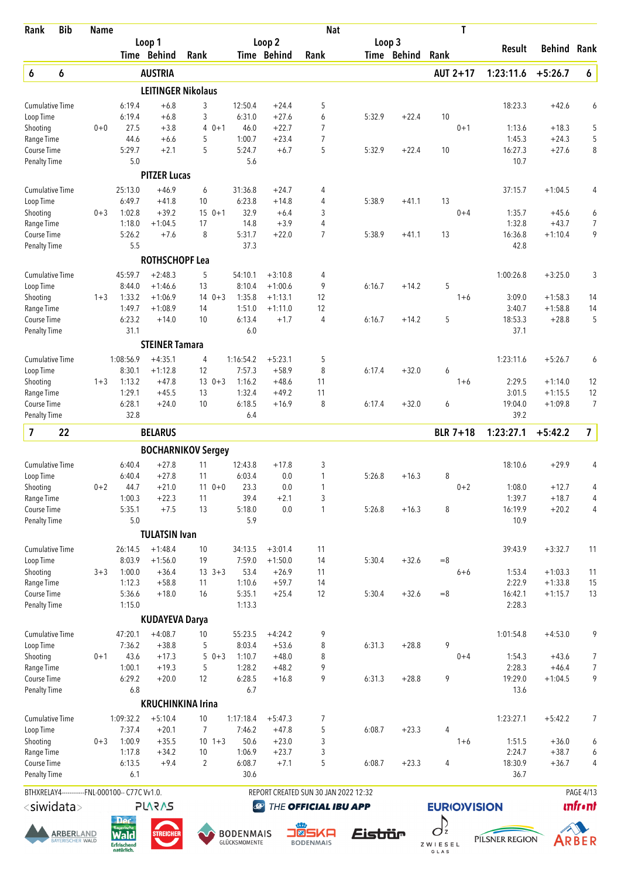| Rank                                | <b>Bib</b> | <b>Name</b>                                      |                   |                        |                           |                   |                        | <b>Nat</b>                                |        |             | T                   |                   |                        |                  |
|-------------------------------------|------------|--------------------------------------------------|-------------------|------------------------|---------------------------|-------------------|------------------------|-------------------------------------------|--------|-------------|---------------------|-------------------|------------------------|------------------|
|                                     |            |                                                  |                   | Loop 1                 |                           |                   | Loop 2                 |                                           | Loop 3 |             |                     | Result            | Behind                 | Rank             |
|                                     |            |                                                  |                   | Time Behind            | Rank                      |                   | Time Behind            | Rank                                      |        | Time Behind | Rank                |                   |                        |                  |
| 6                                   | 6          |                                                  |                   | <b>AUSTRIA</b>         |                           |                   |                        |                                           |        |             | AUT 2+17            | 1:23:11.6         | $+5:26.7$              | 6                |
|                                     |            |                                                  |                   |                        | <b>LEITINGER Nikolaus</b> |                   |                        |                                           |        |             |                     |                   |                        |                  |
| <b>Cumulative Time</b>              |            |                                                  | 6:19.4            | $+6.8$                 | 3                         | 12:50.4           | $+24.4$                | 5                                         |        |             |                     | 18:23.3           | $+42.6$                | 6                |
| Loop Time<br>Shooting               |            | $0 + 0$                                          | 6:19.4<br>27.5    | $+6.8$<br>$+3.8$       | 3<br>$0 + 1$<br>4         | 6:31.0<br>46.0    | $+27.6$<br>$+22.7$     | 6<br>$\overline{7}$                       | 5:32.9 | $+22.4$     | 10<br>$0 + 1$       | 1:13.6            | $+18.3$                | 5                |
| Range Time                          |            |                                                  | 44.6              | $+6.6$                 | 5                         | 1:00.7            | $+23.4$                | $\overline{7}$                            |        |             |                     | 1:45.3            | $+24.3$                | 5                |
| Course Time                         |            |                                                  | 5:29.7            | $+2.1$                 | 5                         | 5:24.7            | $+6.7$                 | 5                                         | 5:32.9 | $+22.4$     | 10                  | 16:27.3           | $+27.6$                | 8                |
| <b>Penalty Time</b>                 |            |                                                  | 5.0               |                        |                           | 5.6               |                        |                                           |        |             |                     | 10.7              |                        |                  |
|                                     |            |                                                  |                   | <b>PITZER Lucas</b>    |                           |                   |                        |                                           |        |             |                     |                   |                        |                  |
| <b>Cumulative Time</b>              |            |                                                  | 25:13.0           | $+46.9$                | 6                         | 31:36.8           | $+24.7$                | 4                                         |        |             |                     | 37:15.7           | $+1:04.5$              | 4                |
| Loop Time                           |            |                                                  | 6:49.7            | $+41.8$                | 10                        | 6:23.8            | $+14.8$                | 4                                         | 5:38.9 | $+41.1$     | 13                  |                   |                        |                  |
| Shooting                            |            | $0 + 3$                                          | 1:02.8            | $+39.2$                | $15 \t 0+1$               | 32.9              | $+6.4$                 | 3                                         |        |             | $0 + 4$             | 1:35.7            | $+45.6$                | 6                |
| Range Time                          |            |                                                  | 1:18.0            | $+1:04.5$              | 17                        | 14.8              | $+3.9$                 | 4                                         |        |             |                     | 1:32.8            | $+43.7$                | 7                |
| Course Time                         |            |                                                  | 5:26.2            | $+7.6$                 | 8                         | 5:31.7            | $+22.0$                | $\overline{7}$                            | 5:38.9 | $+41.1$     | 13                  | 16:36.8           | $+1:10.4$              | 9                |
| <b>Penalty Time</b>                 |            |                                                  | 5.5               |                        |                           | 37.3              |                        |                                           |        |             |                     | 42.8              |                        |                  |
|                                     |            |                                                  |                   | <b>ROTHSCHOPF Lea</b>  |                           |                   |                        |                                           |        |             |                     |                   |                        |                  |
| <b>Cumulative Time</b>              |            |                                                  | 45:59.7           | $+2:48.3$              | 5                         | 54:10.1           | $+3:10.8$              | 4                                         |        |             |                     | 1:00:26.8         | $+3:25.0$              | 3                |
| Loop Time                           |            |                                                  | 8:44.0            | $+1:46.6$              | 13                        | 8:10.4            | $+1:00.6$              | 9                                         | 6:16.7 | $+14.2$     | 5                   |                   |                        |                  |
| Shooting<br>Range Time              |            | $1 + 3$                                          | 1:33.2<br>1:49.7  | $+1:06.9$<br>$+1:08.9$ | $14 \t 0+3$<br>14         | 1:35.8<br>1:51.0  | $+1:13.1$<br>$+1:11.0$ | 12<br>12                                  |        |             | $1 + 6$             | 3:09.0<br>3:40.7  | $+1:58.3$<br>$+1:58.8$ | 14<br>14         |
| Course Time                         |            |                                                  | 6:23.2            | $+14.0$                | 10                        | 6:13.4            | $+1.7$                 | 4                                         | 6:16.7 | $+14.2$     | 5                   | 18:53.3           | $+28.8$                | 5                |
| <b>Penalty Time</b>                 |            |                                                  | 31.1              |                        |                           | 6.0               |                        |                                           |        |             |                     | 37.1              |                        |                  |
|                                     |            |                                                  |                   | <b>STEINER Tamara</b>  |                           |                   |                        |                                           |        |             |                     |                   |                        |                  |
| <b>Cumulative Time</b>              |            |                                                  | 1:08:56.9         | $+4:35.1$              | 4                         | 1:16:54.2         | $+5:23.1$              | 5                                         |        |             |                     | 1:23:11.6         | $+5:26.7$              | 6                |
| Loop Time                           |            |                                                  | 8:30.1            | $+1:12.8$              | 12                        | 7:57.3            | $+58.9$                | 8                                         | 6:17.4 | $+32.0$     | 6                   |                   |                        |                  |
| Shooting                            |            | $1 + 3$                                          | 1:13.2            | $+47.8$                | $13 \t 0+3$               | 1:16.2            | $+48.6$                | 11                                        |        |             | $1 + 6$             | 2:29.5            | $+1:14.0$              | 12               |
| Range Time                          |            |                                                  | 1:29.1            | $+45.5$                | 13                        | 1:32.4            | $+49.2$                | 11                                        |        |             |                     | 3:01.5            | $+1:15.5$              | 12               |
| Course Time                         |            |                                                  | 6:28.1            | $+24.0$                | 10                        | 6:18.5            | $+16.9$                | 8                                         | 6:17.4 | $+32.0$     | 6                   | 19:04.0           | $+1:09.8$              | $\overline{7}$   |
| <b>Penalty Time</b>                 |            |                                                  | 32.8              |                        |                           | 6.4               |                        |                                           |        |             |                     | 39.2              |                        |                  |
| $\overline{\mathbf{z}}$             | 22         |                                                  |                   | <b>BELARUS</b>         |                           |                   |                        |                                           |        |             | <b>BLR 7+18</b>     | 1:23:27.1         | $+5:42.2$              | $\overline{7}$   |
|                                     |            |                                                  |                   |                        | <b>BOCHARNIKOV Sergey</b> |                   |                        |                                           |        |             |                     |                   |                        |                  |
| <b>Cumulative Time</b>              |            |                                                  | 6:40.4            | $+27.8$                | 11                        | 12:43.8           | $+17.8$                | 3                                         |        |             |                     | 18:10.6           | $+29.9$                | 4                |
| Loop Time                           |            |                                                  | 6:40.4            | $+27.8$                | 11                        | 6:03.4            | 0.0                    | 1                                         | 5:26.8 | $+16.3$     | 8                   |                   |                        |                  |
| Shooting                            |            | $0 + 2$                                          | 44.7              | $+21.0$                | $11 0+0$                  | 23.3              | 0.0                    | 1                                         |        |             | $0 + 2$             | 1:08.0            | $+12.7$                | 4                |
| Range Time                          |            |                                                  | 1:00.3            | $+22.3$<br>$+7.5$      | 11<br>13                  | 39.4              | $+2.1$<br>0.0          | 3<br>1                                    |        |             | 8                   | 1:39.7<br>16:19.9 | $+18.7$                | 4<br>4           |
| Course Time<br><b>Penalty Time</b>  |            |                                                  | 5:35.1<br>$5.0$   |                        |                           | 5:18.0<br>5.9     |                        |                                           | 5:26.8 | $+16.3$     |                     | 10.9              | $+20.2$                |                  |
|                                     |            |                                                  |                   | <b>TULATSIN Ivan</b>   |                           |                   |                        |                                           |        |             |                     |                   |                        |                  |
|                                     |            |                                                  |                   |                        |                           |                   |                        |                                           |        |             |                     |                   |                        |                  |
| <b>Cumulative Time</b><br>Loop Time |            |                                                  | 26:14.5<br>8:03.9 | $+1:48.4$<br>$+1:56.0$ | 10<br>19                  | 34:13.5<br>7:59.0 | $+3:01.4$<br>$+1:50.0$ | 11<br>14                                  | 5:30.4 | $+32.6$     | $=8$                | 39:43.9           | $+3:32.7$              | 11               |
| Shooting                            |            | $3 + 3$                                          | 1:00.0            | $+36.4$                | $13 \t3+3$                | 53.4              | $+26.9$                | 11                                        |        |             | $6 + 6$             | 1:53.4            | $+1:03.3$              | 11               |
| Range Time                          |            |                                                  | 1:12.3            | $+58.8$                | 11                        | 1:10.6            | $+59.7$                | 14                                        |        |             |                     | 2:22.9            | $+1:33.8$              | 15               |
| Course Time                         |            |                                                  | 5:36.6            | $+18.0$                | 16                        | 5:35.1            | $+25.4$                | 12                                        | 5:30.4 | $+32.6$     | $=8$                | 16:42.1           | $+1:15.7$              | 13               |
| <b>Penalty Time</b>                 |            |                                                  | 1:15.0            |                        |                           | 1:13.3            |                        |                                           |        |             |                     | 2:28.3            |                        |                  |
|                                     |            |                                                  |                   | <b>KUDAYEVA Darya</b>  |                           |                   |                        |                                           |        |             |                     |                   |                        |                  |
| <b>Cumulative Time</b>              |            |                                                  | 47:20.1           | $+4:08.7$              | 10                        | 55:23.5           | $+4:24.2$              | 9                                         |        |             |                     | 1:01:54.8         | $+4:53.0$              | 9                |
| Loop Time                           |            |                                                  | 7:36.2            | $+38.8$                | 5                         | 8:03.4            | $+53.6$                | 8                                         | 6:31.3 | $+28.8$     | 9                   |                   |                        |                  |
| Shooting                            |            | $0 + 1$                                          | 43.6              | $+17.3$                | $50+3$                    | 1:10.7            | $+48.0$                | 8                                         |        |             | $0 + 4$             | 1:54.3            | $+43.6$                | 7                |
| Range Time                          |            |                                                  | 1:00.1            | $+19.3$                | 5                         | 1:28.2            | $+48.2$                | 9                                         |        |             |                     | 2:28.3            | $+46.4$                | 7                |
| Course Time                         |            |                                                  | 6:29.2<br>6.8     | $+20.0$                | 12                        | 6:28.5<br>6.7     | $+16.8$                | 9                                         | 6:31.3 | $+28.8$     | 9                   | 19:29.0<br>13.6   | $+1:04.5$              | 9                |
| <b>Penalty Time</b>                 |            |                                                  |                   |                        |                           |                   |                        |                                           |        |             |                     |                   |                        |                  |
|                                     |            |                                                  |                   |                        | <b>KRUCHINKINA Irina</b>  |                   |                        |                                           |        |             |                     |                   |                        |                  |
| <b>Cumulative Time</b>              |            |                                                  | 1:09:32.2         | $+5:10.4$              | 10                        | 1:17:18.4         | $+5:47.3$              | 7                                         |        |             |                     | 1:23:27.1         | $+5:42.2$              | 7                |
| Loop Time                           |            |                                                  | 7:37.4            | $+20.1$                | $\overline{7}$            | 7:46.2            | $+47.8$                | 5                                         | 6:08.7 | $+23.3$     | 4                   |                   |                        |                  |
| Shooting<br>Range Time              |            | $0 + 3$                                          | 1:00.9<br>1:17.8  | $+35.5$<br>$+34.2$     | $10 + 3$<br>10            | 50.6<br>1:06.9    | $+23.0$<br>$+23.7$     | 3<br>3                                    |        |             | $1 + 6$             | 1:51.5<br>2:24.7  | $+36.0$<br>$+38.7$     | 6<br>6           |
| Course Time                         |            |                                                  | 6:13.5            | $+9.4$                 | $\overline{2}$            | 6:08.7            | $+7.1$                 | 5                                         | 6:08.7 | $+23.3$     | 4                   | 18:30.9           | $+36.7$                | 4                |
| <b>Penalty Time</b>                 |            |                                                  | 6.1               |                        |                           | 30.6              |                        |                                           |        |             |                     | 36.7              |                        |                  |
|                                     |            | BTHXRELAY4 ------------ FNL-000100-- C77C Vv1.0. |                   |                        |                           |                   |                        | REPORT CREATED SUN 30 JAN 2022 12:32      |        |             |                     |                   |                        | <b>PAGE 4/13</b> |
| <siwidata></siwidata>               |            |                                                  |                   | <b>SV2V7L</b>          |                           |                   |                        | <b><sup>49</sup> THE OFFICIAL IBU APP</b> |        |             | <b>EURIO)VISION</b> |                   |                        | <b>unfr</b> •nt  |















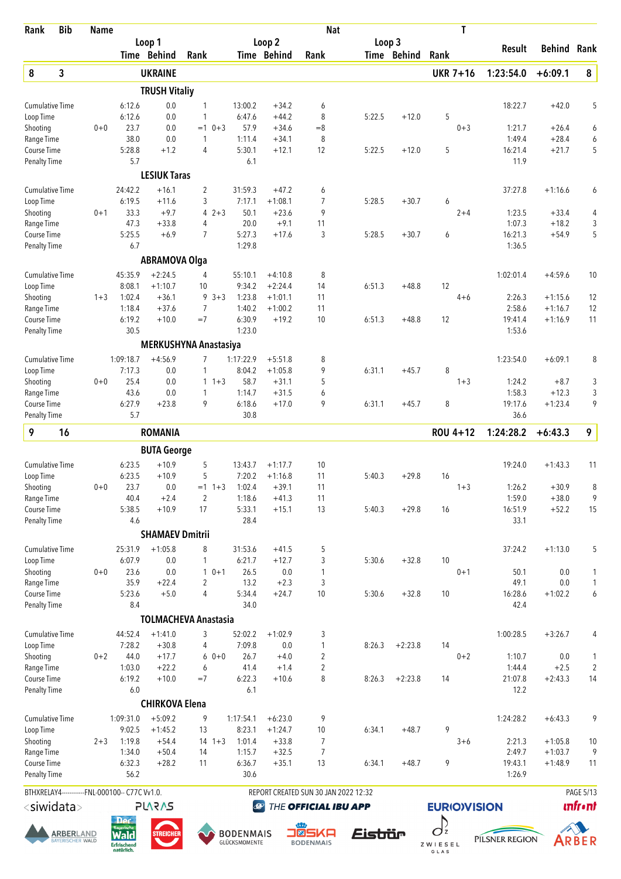| Rank                               | <b>Bib</b>                            | <b>Name</b> |                                                 |                             |                     |                                   |                       | <b>Nat</b>                           |                       |             |                               | Τ       |                   |                    |                |
|------------------------------------|---------------------------------------|-------------|-------------------------------------------------|-----------------------------|---------------------|-----------------------------------|-----------------------|--------------------------------------|-----------------------|-------------|-------------------------------|---------|-------------------|--------------------|----------------|
|                                    |                                       |             |                                                 | Loop 1<br>Time Behind       | Rank                |                                   | Loop 2<br>Time Behind | Rank                                 | Loop 3                | Time Behind | Rank                          |         | Result            | Behind             | Rank           |
| 8                                  | 3                                     |             |                                                 | <b>UKRAINE</b>              |                     |                                   |                       |                                      |                       |             | <b>UKR 7+16</b>               |         | 1:23:54.0         | $+6:09.1$          | 8              |
|                                    |                                       |             |                                                 | <b>TRUSH Vitaliy</b>        |                     |                                   |                       |                                      |                       |             |                               |         |                   |                    |                |
| <b>Cumulative Time</b>             |                                       |             | 6:12.6                                          | 0.0                         | 1                   | 13:00.2                           | $+34.2$               | 6                                    |                       |             |                               |         | 18:22.7           | $+42.0$            | 5              |
| Loop Time                          |                                       |             | 6:12.6                                          | 0.0                         | 1                   | 6:47.6                            | $+44.2$               | 8                                    | 5:22.5                | $+12.0$     | 5                             |         |                   |                    |                |
| Shooting                           |                                       | $0 + 0$     | 23.7                                            | 0.0                         | $=1$ 0+3            | 57.9                              | $+34.6$               | $=8$                                 |                       |             |                               | $0 + 3$ | 1:21.7            | $+26.4$            | 6              |
| Range Time                         |                                       |             | 38.0                                            | 0.0                         | 1                   | 1:11.4                            | $+34.1$               | 8                                    |                       |             |                               |         | 1:49.4            | $+28.4$            | 6              |
| Course Time<br><b>Penalty Time</b> |                                       |             | 5:28.8<br>5.7                                   | $+1.2$                      | $\overline{4}$      | 5:30.1<br>6.1                     | $+12.1$               | 12                                   | 5:22.5                | $+12.0$     | 5                             |         | 16:21.4<br>11.9   | $+21.7$            | 5              |
|                                    |                                       |             |                                                 | <b>LESIUK Taras</b>         |                     |                                   |                       |                                      |                       |             |                               |         |                   |                    |                |
| <b>Cumulative Time</b>             |                                       |             | 24:42.2                                         | $+16.1$                     | $\overline{2}$      | 31:59.3                           | $+47.2$               | 6                                    |                       |             |                               |         | 37:27.8           | $+1:16.6$          | 6              |
| Loop Time                          |                                       |             | 6:19.5                                          | $+11.6$                     | 3                   | 7:17.1                            | $+1:08.1$             | 7                                    | 5:28.5                | $+30.7$     | 6                             |         |                   |                    |                |
| Shooting                           |                                       | $0 + 1$     | 33.3                                            | $+9.7$                      | 4                   | $2 + 3$<br>50.1                   | $+23.6$               | 9                                    |                       |             |                               | $2 + 4$ | 1:23.5            | $+33.4$            | 4              |
| Range Time<br>Course Time          |                                       |             | 47.3<br>5:25.5                                  | $+33.8$<br>$+6.9$           | 4<br>$\overline{7}$ | 20.0<br>5:27.3                    | $+9.1$<br>$+17.6$     | 11<br>3                              | 5:28.5                | $+30.7$     | 6                             |         | 1:07.3<br>16:21.3 | $+18.2$<br>$+54.9$ | 3<br>5         |
| <b>Penalty Time</b>                |                                       |             | 6.7                                             |                             |                     | 1:29.8                            |                       |                                      |                       |             |                               |         | 1:36.5            |                    |                |
|                                    |                                       |             |                                                 | <b>ABRAMOVA Olga</b>        |                     |                                   |                       |                                      |                       |             |                               |         |                   |                    |                |
| <b>Cumulative Time</b>             |                                       |             | 45:35.9                                         | $+2:24.5$                   | 4                   | 55:10.1                           | $+4:10.8$             | 8                                    |                       |             |                               |         | 1:02:01.4         | $+4:59.6$          | 10             |
| Loop Time                          |                                       |             | 8:08.1                                          | $+1:10.7$                   | 10                  | 9:34.2                            | $+2:24.4$             | 14                                   | 6:51.3                | $+48.8$     | 12                            |         |                   |                    |                |
| Shooting                           |                                       | $1 + 3$     | 1:02.4                                          | $+36.1$                     | 9                   | 1:23.8<br>$3 + 3$                 | $+1:01.1$             | 11                                   |                       |             |                               | $4 + 6$ | 2:26.3            | $+1:15.6$          | 12             |
| Range Time                         |                                       |             | 1:18.4                                          | $+37.6$                     | 7                   | 1:40.2                            | $+1:00.2$             | 11                                   |                       |             |                               |         | 2:58.6            | $+1:16.7$          | 12             |
| Course Time                        |                                       |             | 6:19.2                                          | $+10.0$                     | $=7$                | 6:30.9                            | $+19.2$               | 10                                   | 6:51.3                | $+48.8$     | 12                            |         | 19:41.4           | $+1:16.9$          | 11             |
| <b>Penalty Time</b>                |                                       |             | 30.5                                            |                             |                     | 1:23.0                            |                       |                                      |                       |             |                               |         | 1:53.6            |                    |                |
|                                    |                                       |             |                                                 | MERKUSHYNA Anastasiya       |                     |                                   |                       |                                      |                       |             |                               |         |                   |                    |                |
| <b>Cumulative Time</b>             |                                       |             | 1:09:18.7                                       | $+4:56.9$                   | 7                   | 1:17:22.9                         | $+5:51.8$             | 8                                    |                       |             |                               |         | 1:23:54.0         | $+6:09.1$          | 8              |
| Loop Time<br>Shooting              |                                       | $0 + 0$     | 7:17.3<br>25.4                                  | 0.0<br>0.0                  | 1<br>$11+3$         | 8:04.2<br>58.7                    | $+1:05.8$<br>$+31.1$  | 9<br>5                               | 6:31.1                | $+45.7$     | 8                             | $1 + 3$ | 1:24.2            | $+8.7$             | 3              |
| Range Time                         |                                       |             | 43.6                                            | 0.0                         | 1                   | 1:14.7                            | $+31.5$               | 6                                    |                       |             |                               |         | 1:58.3            | $+12.3$            | 3              |
| Course Time                        |                                       |             | 6:27.9                                          | $+23.8$                     | 9                   | 6:18.6                            | $+17.0$               | 9                                    | 6:31.1                | $+45.7$     | 8                             |         | 19:17.6           | $+1:23.4$          | 9              |
| <b>Penalty Time</b>                |                                       |             | 5.7                                             |                             |                     | 30.8                              |                       |                                      |                       |             |                               |         | 36.6              |                    |                |
| 9                                  | 16                                    |             |                                                 | <b>ROMANIA</b>              |                     |                                   |                       |                                      |                       |             | <b>ROU 4+12</b>               |         | 1:24:28.2         | $+6:43.3$          | 9              |
|                                    |                                       |             |                                                 | <b>BUTA George</b>          |                     |                                   |                       |                                      |                       |             |                               |         |                   |                    |                |
| <b>Cumulative Time</b>             |                                       |             | 6:23.5                                          | $+10.9$                     | 5                   | 13:43.7                           | $+1:17.7$             | 10                                   |                       |             |                               |         | 19:24.0           | $+1:43.3$          | 11             |
| Loop Time                          |                                       |             | 6:23.5                                          | $+10.9$                     | 5                   | 7:20.2                            | $+1:16.8$             | 11                                   | 5:40.3                | $+29.8$     | 16                            |         |                   |                    |                |
| Shooting                           |                                       | $0 + 0$     | 23.7                                            | 0.0                         | $=1$ 1+3            | 1:02.4                            | $+39.1$               | 11                                   |                       |             |                               | $1 + 3$ | 1:26.2            | $+30.9$            | 8              |
| Range Time                         |                                       |             | 40.4                                            | $+2.4$                      | $\overline{2}$      | 1:18.6                            | $+41.3$               | 11                                   |                       |             |                               |         | 1:59.0            | $+38.0$            | 9              |
| Course Time                        |                                       |             | 5:38.5<br>4.6                                   | $+10.9$                     | 17                  | 5:33.1<br>28.4                    | $+15.1$               | 13                                   | 5:40.3                | $+29.8$     | 16                            |         | 16:51.9<br>33.1   | $+52.2$            | 15             |
| <b>Penalty Time</b>                |                                       |             |                                                 | <b>SHAMAEV Dmitrii</b>      |                     |                                   |                       |                                      |                       |             |                               |         |                   |                    |                |
| <b>Cumulative Time</b>             |                                       |             | 25:31.9                                         | $+1:05.8$                   |                     |                                   |                       |                                      |                       |             |                               |         |                   |                    |                |
| Loop Time                          |                                       |             | 6:07.9                                          | 0.0                         | 8<br>1              | 31:53.6<br>6:21.7                 | $+41.5$<br>$+12.7$    | 5<br>3                               | 5:30.6                | $+32.8$     | 10                            |         | 37:24.2           | $+1:13.0$          | 5              |
| Shooting                           |                                       | $0 + 0$     | 23.6                                            | 0.0                         | $10+1$              | 26.5                              | 0.0                   | $\mathbf{1}$                         |                       |             |                               | $0 + 1$ | 50.1              | 0.0                | 1              |
| Range Time                         |                                       |             | 35.9                                            | $+22.4$                     | $\overline{2}$      | 13.2                              | $+2.3$                | 3                                    |                       |             |                               |         | 49.1              | 0.0                | 1              |
| Course Time                        |                                       |             | 5:23.6                                          | $+5.0$                      | 4                   | 5:34.4                            | $+24.7$               | 10                                   | 5:30.6                | $+32.8$     | 10                            |         | 16:28.6           | $+1:02.2$          | 6              |
| <b>Penalty Time</b>                |                                       |             | 8.4                                             |                             |                     | 34.0                              |                       |                                      |                       |             |                               |         | 42.4              |                    |                |
|                                    |                                       |             |                                                 | <b>TOLMACHEVA Anastasia</b> |                     |                                   |                       |                                      |                       |             |                               |         |                   |                    |                |
| <b>Cumulative Time</b>             |                                       |             | 44:52.4<br>7:28.2                               | $+1:41.0$<br>$+30.8$        | 3<br>4              | 52:02.2<br>7:09.8                 | $+1:02.9$<br>$0.0\,$  | 3<br>1                               | 8:26.3                | $+2:23.8$   | 14                            |         | 1:00:28.5         | $+3:26.7$          | 4              |
| Loop Time<br>Shooting              |                                       | $0 + 2$     | 44.0                                            | $+17.7$                     | $60+0$              | 26.7                              | $+4.0$                | 2                                    |                       |             |                               | $0 + 2$ | 1:10.7            | 0.0                | 1              |
| Range Time                         |                                       |             | 1:03.0                                          | $+22.2$                     | 6                   | 41.4                              | $+1.4$                | $\overline{c}$                       |                       |             |                               |         | 1:44.4            | $+2.5$             | $\overline{2}$ |
| Course Time                        |                                       |             | 6:19.2                                          | $+10.0$                     | $=7$                | 6:22.3                            | $+10.6$               | 8                                    | 8:26.3                | $+2:23.8$   | 14                            |         | 21:07.8           | $+2:43.3$          | 14             |
| <b>Penalty Time</b>                |                                       |             | 6.0                                             |                             |                     | 6.1                               |                       |                                      |                       |             |                               |         | 12.2              |                    |                |
|                                    |                                       |             |                                                 | <b>CHIRKOVA Elena</b>       |                     |                                   |                       |                                      |                       |             |                               |         |                   |                    |                |
| <b>Cumulative Time</b>             |                                       |             | 1:09:31.0                                       | $+5:09.2$                   | 9                   | 1:17:54.1                         | $+6:23.0$             | 9                                    |                       |             |                               |         | 1:24:28.2         | $+6:43.3$          | 9              |
| Loop Time<br>Shooting              |                                       | $2 + 3$     | 9:02.5<br>1:19.8                                | $+1:45.2$<br>$+54.4$        | 13<br>$14 \t1+3$    | 8:23.1<br>1:01.4                  | $+1:24.7$<br>$+33.8$  | 10<br>$\overline{7}$                 | 6:34.1                | $+48.7$     | 9                             | $3 + 6$ | 2:21.3            | $+1:05.8$          | 10             |
| Range Time                         |                                       |             | 1:34.0                                          | $+50.4$                     | 14                  | 1:15.7                            | $+32.5$               | 7                                    |                       |             |                               |         | 2:49.7            | $+1:03.7$          | 9              |
| Course Time                        |                                       |             | 6:32.3                                          | $+28.2$                     | 11                  | 6:36.7                            | $+35.1$               | 13                                   | 6:34.1                | $+48.7$     | 9                             |         | 19:43.1           | $+1:48.9$          | 11             |
| <b>Penalty Time</b>                |                                       |             | 56.2                                            |                             |                     | 30.6                              |                       |                                      |                       |             |                               |         | 1:26.9            |                    |                |
|                                    |                                       |             | BTHXRELAY4------------FNL-000100-- C77C Vv1.0.  |                             |                     |                                   |                       | REPORT CREATED SUN 30 JAN 2022 12:32 |                       |             |                               |         |                   |                    | PAGE 5/13      |
| <siwidata></siwidata>              |                                       |             |                                                 | <b>PLARAS</b>               |                     |                                   | $\bigcirc$            | THE OFFICIAL IBU APP                 |                       |             | <b>EURIO)VISION</b>           |         |                   |                    | <b>unfront</b> |
|                                    |                                       |             | <b>Der</b><br><b>Rayerische</b>                 |                             |                     |                                   |                       |                                      |                       |             |                               |         |                   |                    |                |
|                                    | <b>ARBER</b> LAND<br>BAYERISCHER WALD |             | <b>Wald</b><br><b>Erfrischend</b><br>natürlich. | <b>STREICHER</b>            |                     | <b>BODENMAIS</b><br>GLÜCKSMOMENTE |                       | ∎⊠<br>5KA<br><b>BODENMAIS</b>        | <i><b>Eistiür</b></i> |             | $\sigma^2$<br>ZWIESEL<br>GLAS |         | PÍLSNER REGION    |                    | ARBER          |





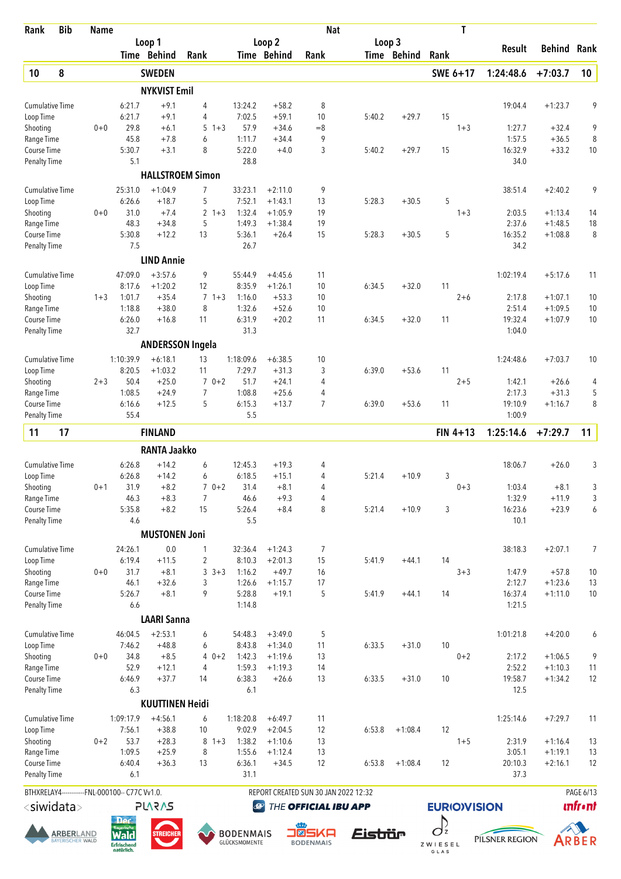| Rank                                | <b>Bib</b>                            | <b>Name</b> |                                                               |                         |                           |         |                                   |                        | <b>Nat</b>                           |                       |             |                               | Τ          |                   |                        |                |
|-------------------------------------|---------------------------------------|-------------|---------------------------------------------------------------|-------------------------|---------------------------|---------|-----------------------------------|------------------------|--------------------------------------|-----------------------|-------------|-------------------------------|------------|-------------------|------------------------|----------------|
|                                     |                                       |             |                                                               | Loop 1<br>Time Behind   | Rank                      |         |                                   | Loop 2<br>Time Behind  | Rank                                 | Loop 3                | Time Behind | Rank                          |            | Result            | Behind                 | Rank           |
| 10                                  | 8                                     |             |                                                               | <b>SWEDEN</b>           |                           |         |                                   |                        |                                      |                       |             | SWE 6+17                      |            | 1:24:48.6         | $+7:03.7$              | 10             |
|                                     |                                       |             |                                                               | <b>NYKVIST Emil</b>     |                           |         |                                   |                        |                                      |                       |             |                               |            |                   |                        |                |
| <b>Cumulative Time</b>              |                                       |             | 6:21.7                                                        | $+9.1$                  | 4                         |         | 13:24.2                           | $+58.2$                | 8                                    |                       |             |                               |            | 19:04.4           | $+1:23.7$              | 9              |
| Loop Time                           |                                       |             | 6:21.7                                                        | $+9.1$                  | 4                         |         | 7:02.5                            | $+59.1$                | 10                                   | 5:40.2                | $+29.7$     | 15                            |            |                   |                        |                |
| Shooting                            |                                       | $0 + 0$     | 29.8                                                          | $+6.1$                  | 5                         | $1 + 3$ | 57.9                              | $+34.6$                | $=8$                                 |                       |             |                               | $1 + 3$    | 1:27.7            | $+32.4$                | 9              |
| Range Time                          |                                       |             | 45.8                                                          | $+7.8$                  | 6                         |         | 1:11.7                            | $+34.4$                | 9                                    |                       |             |                               |            | 1:57.5            | $+36.5$                | 8              |
| Course Time<br><b>Penalty Time</b>  |                                       |             | 5:30.7<br>5.1                                                 | $+3.1$                  | 8                         |         | 5:22.0<br>28.8                    | $+4.0$                 | 3                                    | 5:40.2                | $+29.7$     | 15                            |            | 16:32.9<br>34.0   | $+33.2$                | 10             |
|                                     |                                       |             |                                                               | <b>HALLSTROEM Simon</b> |                           |         |                                   |                        |                                      |                       |             |                               |            |                   |                        |                |
| <b>Cumulative Time</b>              |                                       |             | 25:31.0                                                       | $+1:04.9$               | $\overline{7}$            |         | 33:23.1                           | $+2:11.0$              | 9                                    |                       |             |                               |            | 38:51.4           | $+2:40.2$              | 9              |
| Loop Time                           |                                       |             | 6:26.6                                                        | $+18.7$                 | 5                         |         | 7:52.1                            | $+1:43.1$              | 13                                   | 5:28.3                | $+30.5$     | 5                             |            |                   |                        |                |
| Shooting                            |                                       | $0 + 0$     | 31.0<br>48.3                                                  | $+7.4$<br>$+34.8$       | $\mathbf{2}^{\circ}$<br>5 | $1 + 3$ | 1:32.4<br>1:49.3                  | $+1:05.9$<br>$+1:38.4$ | 19<br>19                             |                       |             |                               | $1 + 3$    | 2:03.5<br>2:37.6  | $+1:13.4$<br>$+1:48.5$ | 14<br>18       |
| Range Time<br>Course Time           |                                       |             | 5:30.8                                                        | $+12.2$                 | 13                        |         | 5:36.1                            | $+26.4$                | 15                                   | 5:28.3                | $+30.5$     | 5                             |            | 16:35.2           | $+1:08.8$              | 8              |
| <b>Penalty Time</b>                 |                                       |             | 7.5                                                           |                         |                           |         | 26.7                              |                        |                                      |                       |             |                               |            | 34.2              |                        |                |
|                                     |                                       |             |                                                               | <b>LIND Annie</b>       |                           |         |                                   |                        |                                      |                       |             |                               |            |                   |                        |                |
| <b>Cumulative Time</b>              |                                       |             | 47:09.0                                                       | $+3:57.6$               | 9                         |         | 55:44.9                           | $+4:45.6$              | 11                                   |                       |             |                               |            | 1:02:19.4         | $+5:17.6$              | 11             |
| Loop Time                           |                                       |             | 8:17.6                                                        | $+1:20.2$               | 12                        |         | 8:35.9                            | $+1:26.1$              | 10                                   | 6:34.5                | $+32.0$     | 11                            |            |                   |                        |                |
| Shooting                            |                                       | $1 + 3$     | 1:01.7                                                        | $+35.4$                 | $\overline{7}$            | $1 + 3$ | 1:16.0                            | $+53.3$                | 10                                   |                       |             |                               | $2 + 6$    | 2:17.8            | $+1:07.1$              | 10             |
| Range Time                          |                                       |             | 1:18.8                                                        | $+38.0$                 | 8                         |         | 1:32.6                            | $+52.6$                | 10                                   |                       |             |                               |            | 2:51.4            | $+1:09.5$              | 10             |
| Course Time                         |                                       |             | 6:26.0                                                        | $+16.8$                 | 11                        |         | 6:31.9                            | $+20.2$                | 11                                   | 6:34.5                | $+32.0$     | 11                            |            | 19:32.4           | $+1:07.9$              | 10             |
| <b>Penalty Time</b>                 |                                       |             | 32.7                                                          | <b>ANDERSSON Ingela</b> |                           |         | 31.3                              |                        |                                      |                       |             |                               |            | 1:04.0            |                        |                |
|                                     |                                       |             |                                                               |                         |                           |         |                                   |                        |                                      |                       |             |                               |            |                   |                        |                |
| <b>Cumulative Time</b><br>Loop Time |                                       |             | 1:10:39.9<br>8:20.5                                           | $+6:18.1$<br>$+1:03.2$  | 13<br>11                  |         | 1:18:09.6<br>7:29.7               | $+6:38.5$<br>$+31.3$   | 10<br>3                              | 6:39.0                | $+53.6$     | 11                            |            | 1:24:48.6         | $+7:03.7$              | 10             |
| Shooting                            |                                       | $2 + 3$     | 50.4                                                          | $+25.0$                 |                           | $70+2$  | 51.7                              | $+24.1$                | 4                                    |                       |             |                               | $2 + 5$    | 1:42.1            | $+26.6$                | 4              |
| Range Time                          |                                       |             | 1:08.5                                                        | $+24.9$                 | 7                         |         | 1:08.8                            | $+25.6$                | 4                                    |                       |             |                               |            | 2:17.3            | $+31.3$                | 5              |
| Course Time                         |                                       |             | 6:16.6                                                        | $+12.5$                 | 5                         |         | 6:15.3                            | $+13.7$                | $\overline{7}$                       | 6:39.0                | $+53.6$     | 11                            |            | 19:10.9           | $+1:16.7$              | 8              |
| <b>Penalty Time</b>                 |                                       |             | 55.4                                                          |                         |                           |         | 5.5                               |                        |                                      |                       |             |                               |            | 1:00.9            |                        |                |
| 11                                  | 17                                    |             |                                                               | <b>FINLAND</b>          |                           |         |                                   |                        |                                      |                       |             |                               | $FIN 4+13$ | 1:25:14.6         | $+7:29.7$              | 11             |
|                                     |                                       |             |                                                               | <b>RANTA Jaakko</b>     |                           |         |                                   |                        |                                      |                       |             |                               |            |                   |                        |                |
| <b>Cumulative Time</b>              |                                       |             | 6:26.8                                                        | $+14.2$                 | 6                         |         | 12:45.3                           | $+19.3$                | 4                                    |                       |             |                               |            | 18:06.7           | $+26.0$                | 3              |
| Loop Time                           |                                       |             | 6:26.8                                                        | $+14.2$                 | 6                         |         | 6:18.5                            | $+15.1$                | 4                                    | 5:21.4                | $+10.9$     | 3                             |            |                   |                        |                |
| Shooting                            |                                       | $0 + 1$     | 31.9                                                          | $+8.2$                  |                           | $70+2$  | 31.4                              | $+8.1$                 | 4                                    |                       |             |                               | $0 + 3$    | 1:03.4            | $+8.1$                 | 3              |
| Range Time                          |                                       |             | 46.3                                                          | $+8.3$                  | $\overline{7}$            |         | 46.6                              | $+9.3$                 | 4                                    |                       |             |                               |            | 1:32.9            | $+11.9$                | 3              |
| Course Time                         |                                       |             | 5:35.8                                                        | $+8.2$                  | 15                        |         | 5:26.4                            | $+8.4$                 | 8                                    | 5:21.4                | $+10.9$     | 3                             |            | 16:23.6           | $+23.9$                | 6              |
| <b>Penalty Time</b>                 |                                       |             | 4.6                                                           | <b>MUSTONEN Joni</b>    |                           |         | 5.5                               |                        |                                      |                       |             |                               |            | 10.1              |                        |                |
|                                     |                                       |             |                                                               |                         |                           |         |                                   |                        |                                      |                       |             |                               |            |                   |                        |                |
| <b>Cumulative Time</b><br>Loop Time |                                       |             | 24:26.1<br>6:19.4                                             | 0.0<br>$+11.5$          | 1<br>$\sqrt{2}$           |         | 32:36.4<br>8:10.3                 | $+1:24.3$<br>$+2:01.3$ | 7<br>15                              | 5:41.9                | $+44.1$     | 14                            |            | 38:18.3           | $+2:07.1$              | 7              |
| Shooting                            |                                       | $0 + 0$     | 31.7                                                          | $+8.1$                  | 3                         | $3 + 3$ | 1:16.2                            | $+49.7$                | 16                                   |                       |             |                               | $3 + 3$    | 1:47.9            | $+57.8$                | 10             |
| Range Time                          |                                       |             | 46.1                                                          | $+32.6$                 | 3                         |         | 1:26.6                            | $+1:15.7$              | 17                                   |                       |             |                               |            | 2:12.7            | $+1:23.6$              | 13             |
| Course Time                         |                                       |             | 5:26.7                                                        | $+8.1$                  | 9                         |         | 5:28.8                            | $+19.1$                | 5                                    | 5:41.9                | $+44.1$     | 14                            |            | 16:37.4           | $+1:11.0$              | 10             |
| <b>Penalty Time</b>                 |                                       |             | 6.6                                                           |                         |                           |         | 1:14.8                            |                        |                                      |                       |             |                               |            | 1:21.5            |                        |                |
|                                     |                                       |             |                                                               | <b>LAARI Sanna</b>      |                           |         |                                   |                        |                                      |                       |             |                               |            |                   |                        |                |
| <b>Cumulative Time</b>              |                                       |             | 46:04.5                                                       | $+2:53.1$               | 6                         |         | 54:48.3                           | $+3:49.0$              | 5                                    |                       |             |                               |            | 1:01:21.8         | $+4:20.0$              | 6              |
| Loop Time                           |                                       |             | 7:46.2                                                        | $+48.8$                 | 6                         |         | 8:43.8                            | $+1:34.0$              | 11                                   | 6:33.5                | $+31.0$     | 10                            |            |                   |                        |                |
| Shooting                            |                                       | $0 + 0$     | 34.8<br>52.9                                                  | $+8.5$                  | $\overline{4}$            | $40+2$  | 1:42.3                            | $+1:19.6$              | 13<br>14                             |                       |             |                               | $0 + 2$    | 2:17.2            | $+1:06.5$              | 9              |
| Range Time<br>Course Time           |                                       |             | 6:46.9                                                        | $+12.1$<br>$+37.7$      | 14                        |         | 1:59.3<br>6:38.3                  | $+1:19.3$<br>$+26.6$   | 13                                   | 6:33.5                | $+31.0$     | 10                            |            | 2:52.2<br>19:58.7 | $+1:10.3$<br>$+1:34.2$ | 11<br>12       |
| <b>Penalty Time</b>                 |                                       |             | 6.3                                                           |                         |                           |         | 6.1                               |                        |                                      |                       |             |                               |            | 12.5              |                        |                |
|                                     |                                       |             |                                                               | <b>KUUTTINEN Heidi</b>  |                           |         |                                   |                        |                                      |                       |             |                               |            |                   |                        |                |
| <b>Cumulative Time</b>              |                                       |             | 1:09:17.9                                                     | $+4:56.1$               | 6                         |         | 1:18:20.8                         | $+6:49.7$              | 11                                   |                       |             |                               |            | 1:25:14.6         | $+7:29.7$              | 11             |
| Loop Time                           |                                       |             | 7:56.1                                                        | $+38.8$                 | 10                        |         | 9:02.9                            | $+2:04.5$              | 12                                   | 6:53.8                | $+1:08.4$   | 12                            |            |                   |                        |                |
| Shooting                            |                                       | $0 + 2$     | 53.7                                                          | $+28.3$                 |                           | $8 + 3$ | 1:38.2                            | $+1:10.6$              | 13                                   |                       |             |                               | $1 + 5$    | 2:31.9            | $+1:16.4$              | 13             |
| Range Time                          |                                       |             | 1:09.5<br>6:40.4                                              | $+25.9$                 | 8                         |         | 1:55.6                            | $+1:12.4$              | 13<br>12                             |                       |             |                               |            | 3:05.1<br>20:10.3 | $+1:19.1$              | 13             |
| Course Time<br><b>Penalty Time</b>  |                                       |             | 6.1                                                           | $+36.3$                 | 13                        |         | 6:36.1<br>31.1                    | $+34.5$                |                                      | 6:53.8                | $+1:08.4$   | 12                            |            | 37.3              | $+2:16.1$              | 12             |
|                                     |                                       |             | BTHXRELAY4------------FNL-000100-- C77C Vv1.0.                |                         |                           |         |                                   |                        | REPORT CREATED SUN 30 JAN 2022 12:32 |                       |             |                               |            |                   |                        | PAGE 6/13      |
| <siwidata></siwidata>               |                                       |             |                                                               | <b>PLARAS</b>           |                           |         | $\bigcirc$                        |                        | THE OFFICIAL IBU APP                 |                       |             | <b>EURIO)VISION</b>           |            |                   |                        | <b>unfront</b> |
|                                     |                                       |             | <b>Der</b>                                                    |                         |                           |         |                                   |                        |                                      |                       |             |                               |            |                   |                        |                |
|                                     | <b>ARBER</b> LAND<br>BAYERISCHER WALD |             | <b>Rayerische</b><br><b>Wald</b><br>Erfrischend<br>natürlich. | <b>STREICHER</b>        |                           |         | <b>BODENMAIS</b><br>GLÜCKSMOMENTE |                        | ∎⊠<br>5KA<br><b>BODENMAIS</b>        | <i><b>Eistiür</b></i> |             | $\sigma^2$<br>ZWIESEL<br>GLAS |            | PILSNER REGION    |                        | ARBER          |





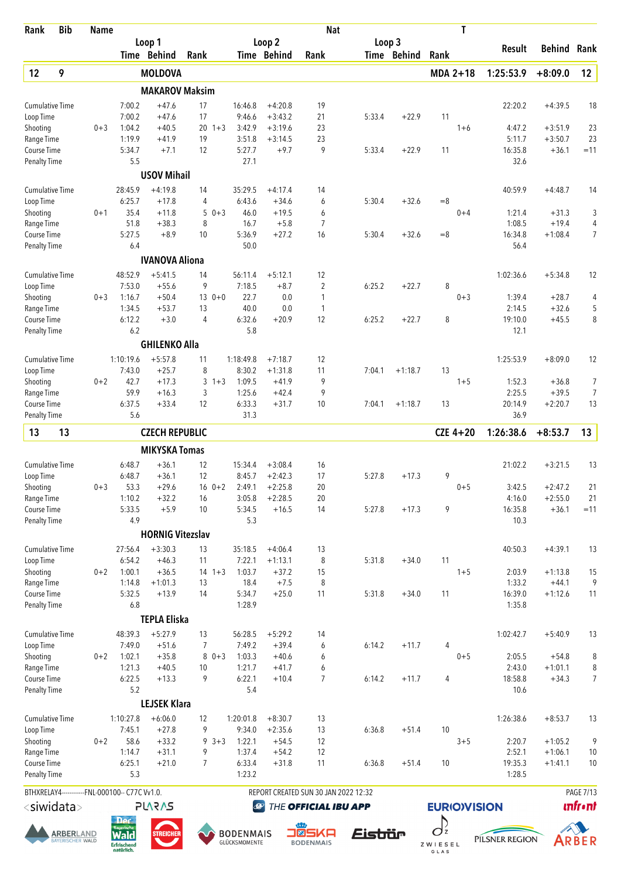| Rank                                | <b>Bib</b>                                   | <b>Name</b> |                                                |                         |                |             |                                   |                        | <b>Nat</b>                           |                       |             |                 | T                   |                  |                    |                  |
|-------------------------------------|----------------------------------------------|-------------|------------------------------------------------|-------------------------|----------------|-------------|-----------------------------------|------------------------|--------------------------------------|-----------------------|-------------|-----------------|---------------------|------------------|--------------------|------------------|
|                                     |                                              |             |                                                | Loop 1                  |                |             |                                   | Loop 2                 |                                      | Loop 3                |             |                 |                     | Result           | <b>Behind</b>      | Rank             |
|                                     |                                              |             |                                                | Time Behind             | Rank           |             |                                   | Time Behind            | Rank                                 |                       | Time Behind | Rank            |                     |                  |                    |                  |
| 12                                  | 9                                            |             |                                                | <b>MOLDOVA</b>          |                |             |                                   |                        |                                      |                       |             | MDA 2+18        |                     | 1:25:53.9        | $+8:09.0$          | 12               |
|                                     |                                              |             |                                                | <b>MAKAROV Maksim</b>   |                |             |                                   |                        |                                      |                       |             |                 |                     |                  |                    |                  |
| <b>Cumulative Time</b>              |                                              |             | 7:00.2                                         | $+47.6$                 | 17             |             | 16:46.8                           | $+4:20.8$              | 19                                   |                       |             |                 |                     | 22:20.2          | $+4:39.5$          | 18               |
| Loop Time<br>Shooting               |                                              | $0 + 3$     | 7:00.2<br>1:04.2                               | $+47.6$<br>$+40.5$      | 17             | $20 \t1+3$  | 9:46.6<br>3:42.9                  | $+3:43.2$<br>$+3:19.6$ | 21<br>23                             | 5:33.4                | $+22.9$     | 11              | $1 + 6$             | 4:47.2           | $+3:51.9$          | 23               |
| Range Time                          |                                              |             | 1:19.9                                         | $+41.9$                 | 19             |             | 3:51.8                            | $+3:14.5$              | 23                                   |                       |             |                 |                     | 5:11.7           | $+3:50.7$          | 23               |
| Course Time                         |                                              |             | 5:34.7                                         | $+7.1$                  | 12             |             | 5:27.7                            | $+9.7$                 | 9                                    | 5:33.4                | $+22.9$     | 11              |                     | 16:35.8          | $+36.1$            | $=11$            |
| <b>Penalty Time</b>                 |                                              |             | 5.5                                            |                         |                |             | 27.1                              |                        |                                      |                       |             |                 |                     | 32.6             |                    |                  |
|                                     |                                              |             |                                                | <b>USOV Mihail</b>      |                |             |                                   |                        |                                      |                       |             |                 |                     |                  |                    |                  |
| <b>Cumulative Time</b>              |                                              |             | 28:45.9                                        | $+4:19.8$               | 14             |             | 35:29.5                           | $+4:17.4$              | 14                                   |                       |             |                 |                     | 40:59.9          | $+4:48.7$          | 14               |
| Loop Time                           |                                              |             | 6:25.7                                         | $+17.8$                 | 4              |             | 6:43.6                            | $+34.6$                | 6                                    | 5:30.4                | $+32.6$     | $=8$            |                     |                  |                    |                  |
| Shooting                            |                                              | $0 + 1$     | 35.4<br>51.8                                   | $+11.8$<br>$+38.3$      | 5<br>8         | $0 + 3$     | 46.0<br>16.7                      | $+19.5$<br>$+5.8$      | 6<br>$\overline{7}$                  |                       |             |                 | $0 + 4$             | 1:21.4<br>1:08.5 | $+31.3$<br>$+19.4$ | 3<br>4           |
| Range Time<br>Course Time           |                                              |             | 5:27.5                                         | $+8.9$                  | 10             |             | 5:36.9                            | $+27.2$                | 16                                   | 5:30.4                | $+32.6$     | $=8$            |                     | 16:34.8          | $+1:08.4$          | $\overline{7}$   |
| <b>Penalty Time</b>                 |                                              |             | 6.4                                            |                         |                |             | 50.0                              |                        |                                      |                       |             |                 |                     | 56.4             |                    |                  |
|                                     |                                              |             |                                                | <b>IVANOVA Aliona</b>   |                |             |                                   |                        |                                      |                       |             |                 |                     |                  |                    |                  |
| <b>Cumulative Time</b>              |                                              |             | 48:52.9                                        | $+5:41.5$               | 14             |             | 56:11.4                           | $+5:12.1$              | 12                                   |                       |             |                 |                     | 1:02:36.6        | $+5:34.8$          | 12               |
| Loop Time                           |                                              |             | 7:53.0                                         | $+55.6$                 | 9              |             | 7:18.5                            | $+8.7$                 | 2                                    | 6:25.2                | $+22.7$     | 8               |                     |                  |                    |                  |
| Shooting                            |                                              | $0 + 3$     | 1:16.7                                         | $+50.4$                 |                | $130+0$     | 22.7                              | 0.0                    | 1                                    |                       |             |                 | $0 + 3$             | 1:39.4           | $+28.7$            | 4                |
| Range Time                          |                                              |             | 1:34.5                                         | $+53.7$                 | 13             |             | 40.0                              | 0.0                    | 1                                    |                       |             |                 |                     | 2:14.5           | $+32.6$            | 5                |
| Course Time                         |                                              |             | 6:12.2                                         | $+3.0$                  | 4              |             | 6:32.6                            | $+20.9$                | 12                                   | 6:25.2                | $+22.7$     | 8               |                     | 19:10.0          | $+45.5$            | 8                |
| <b>Penalty Time</b>                 |                                              |             | 6.2                                            | <b>GHILENKO Alla</b>    |                |             | 5.8                               |                        |                                      |                       |             |                 |                     | 12.1             |                    |                  |
|                                     |                                              |             |                                                |                         |                |             |                                   |                        |                                      |                       |             |                 |                     |                  |                    |                  |
| Cumulative Time<br>Loop Time        |                                              |             | 1:10:19.6<br>7:43.0                            | $+5:57.8$<br>$+25.7$    | 11<br>8        |             | 1:18:49.8<br>8:30.2               | $+7:18.7$<br>$+1:31.8$ | 12<br>11                             | 7:04.1                | $+1:18.7$   | 13              |                     | 1:25:53.9        | $+8:09.0$          | 12               |
| Shooting                            |                                              | $0 + 2$     | 42.7                                           | $+17.3$                 | 3              | $1 + 3$     | 1:09.5                            | $+41.9$                | 9                                    |                       |             |                 | $1 + 5$             | 1:52.3           | $+36.8$            | 7                |
| Range Time                          |                                              |             | 59.9                                           | $+16.3$                 | 3              |             | 1:25.6                            | $+42.4$                | 9                                    |                       |             |                 |                     | 2:25.5           | $+39.5$            | 7                |
| Course Time                         |                                              |             | 6:37.5                                         | $+33.4$                 | 12             |             | 6:33.3                            | $+31.7$                | 10                                   | 7:04.1                | $+1:18.7$   | 13              |                     | 20:14.9          | $+2:20.7$          | 13               |
| <b>Penalty Time</b>                 |                                              |             | 5.6                                            |                         |                |             | 31.3                              |                        |                                      |                       |             |                 |                     | 36.9             |                    |                  |
| 13                                  | 13                                           |             |                                                | <b>CZECH REPUBLIC</b>   |                |             |                                   |                        |                                      |                       |             |                 | $CZE 4+20$          | 1:26:38.6        | $+8:53.7$          | 13               |
|                                     |                                              |             |                                                | <b>MIKYSKA Tomas</b>    |                |             |                                   |                        |                                      |                       |             |                 |                     |                  |                    |                  |
| <b>Cumulative Time</b>              |                                              |             | 6:48.7                                         | $+36.1$                 | 12             |             | 15:34.4                           | $+3:08.4$              | 16                                   |                       |             |                 |                     | 21:02.2          | $+3:21.5$          | 13               |
| Loop Time                           |                                              |             | 6:48.7                                         | $+36.1$                 | 12             |             | 8:45.7                            | $+2:42.3$              | 17                                   | 5:27.8                | $+17.3$     | 9               |                     |                  |                    |                  |
| Shooting                            |                                              | $0 + 3$     | 53.3                                           | $+29.6$                 |                | $16 \t 0+2$ | 2:49.1                            | $+2:25.8$              | 20                                   |                       |             |                 | $0 + 5$             | 3:42.5           | $+2:47.2$          | 21               |
| Range Time                          |                                              |             | 1:10.2                                         | $+32.2$                 | 16             |             | 3:05.8                            | $+2:28.5$              | 20                                   |                       |             |                 |                     | 4:16.0           | $+2:55.0$          | 21               |
| Course Time<br><b>Penalty Time</b>  |                                              |             | 5:33.5<br>4.9                                  | $+5.9$                  | 10             |             | 5:34.5<br>5.3                     | $+16.5$                | 14                                   | 5:27.8                | $+17.3$     | 9               |                     | 16:35.8<br>10.3  | $+36.1$            | $=11$            |
|                                     |                                              |             |                                                | <b>HORNIG Vitezslav</b> |                |             |                                   |                        |                                      |                       |             |                 |                     |                  |                    |                  |
| <b>Cumulative Time</b>              |                                              |             | 27:56.4                                        | $+3:30.3$               | 13             |             | 35:18.5                           | $+4:06.4$              | 13                                   |                       |             |                 |                     | 40:50.3          | $+4:39.1$          | 13               |
| Loop Time                           |                                              |             | 6:54.2                                         | $+46.3$                 | 11             |             | 7:22.1                            | $+1:13.1$              | 8                                    | 5:31.8                | $+34.0$     | 11              |                     |                  |                    |                  |
| Shooting                            |                                              | $0 + 2$     | 1:00.1                                         | $+36.5$                 | 14             | $1 + 3$     | 1:03.7                            | $+37.2$                | 15                                   |                       |             |                 | $1 + 5$             | 2:03.9           | $+1:13.8$          | 15               |
| Range Time                          |                                              |             | 1:14.8                                         | $+1:01.3$               | 13             |             | 18.4                              | $+7.5$                 | 8                                    |                       |             |                 |                     | 1:33.2           | $+44.1$            | 9                |
| Course Time                         |                                              |             | 5:32.5                                         | $+13.9$                 | 14             |             | 5:34.7                            | $+25.0$                | 11                                   | 5:31.8                | $+34.0$     | 11              |                     | 16:39.0          | $+1:12.6$          | 11               |
| <b>Penalty Time</b>                 |                                              |             | 6.8                                            |                         |                |             | 1:28.9                            |                        |                                      |                       |             |                 |                     | 1:35.8           |                    |                  |
|                                     |                                              |             |                                                | <b>TEPLA Eliska</b>     |                |             |                                   |                        |                                      |                       |             |                 |                     |                  |                    |                  |
| <b>Cumulative Time</b><br>Loop Time |                                              |             | 48:39.3<br>7:49.0                              | $+5:27.9$<br>$+51.6$    | 13<br>7        |             | 56:28.5<br>7:49.2                 | $+5:29.2$<br>$+39.4$   | 14<br>6                              | 6:14.2                | $+11.7$     | 4               |                     | 1:02:42.7        | $+5:40.9$          | 13               |
| Shooting                            |                                              | $0 + 2$     | 1:02.1                                         | $+35.8$                 |                | $80+3$      | 1:03.3                            | $+40.6$                | 6                                    |                       |             |                 | $0 + 5$             | 2:05.5           | $+54.8$            | 8                |
| Range Time                          |                                              |             | 1:21.3                                         | $+40.5$                 | 10             |             | 1:21.7                            | $+41.7$                | 6                                    |                       |             |                 |                     | 2:43.0           | $+1:01.1$          | 8                |
| Course Time                         |                                              |             | 6:22.5                                         | $+13.3$                 | 9              |             | 6:22.1                            | $+10.4$                | $\overline{7}$                       | 6:14.2                | $+11.7$     | $\overline{4}$  |                     | 18:58.8          | $+34.3$            | 7                |
| <b>Penalty Time</b>                 |                                              |             | 5.2                                            |                         |                |             | 5.4                               |                        |                                      |                       |             |                 |                     | 10.6             |                    |                  |
|                                     |                                              |             |                                                | <b>LEJSEK Klara</b>     |                |             |                                   |                        |                                      |                       |             |                 |                     |                  |                    |                  |
| Cumulative Time                     |                                              |             | 1:10:27.8<br>7:45.1                            | $+6:06.0$<br>$+27.8$    | 12<br>9        |             | 1:20:01.8<br>9:34.0               | $+8:30.7$<br>$+2:35.6$ | 13<br>13                             | 6:36.8                | $+51.4$     | 10              |                     | 1:26:38.6        | $+8:53.7$          | 13               |
| Loop Time<br>Shooting               |                                              | $0 + 2$     | 58.6                                           | $+33.2$                 |                | $9 \t3+3$   | 1:22.1                            | $+54.5$                | 12                                   |                       |             |                 | $3 + 5$             | 2:20.7           | $+1:05.2$          | 9                |
| Range Time                          |                                              |             | 1:14.7                                         | $+31.1$                 | 9              |             | 1:37.4                            | $+54.2$                | 12                                   |                       |             |                 |                     | 2:52.1           | $+1:06.1$          | 10               |
| Course Time                         |                                              |             | 6:25.1                                         | $+21.0$                 | $\overline{7}$ |             | 6:33.4                            | $+31.8$                | 11                                   | 6:36.8                | $+51.4$     | 10              |                     | 19:35.3          | $+1:41.1$          | 10               |
| <b>Penalty Time</b>                 |                                              |             | 5.3                                            |                         |                |             | 1:23.2                            |                        |                                      |                       |             |                 |                     | 1:28.5           |                    |                  |
|                                     |                                              |             | BTHXRELAY4------------FNL-000100-- C77C Vv1.0. |                         |                |             |                                   |                        | REPORT CREATED SUN 30 JAN 2022 12:32 |                       |             |                 |                     |                  |                    | <b>PAGE 7/13</b> |
|                                     | <siwidata></siwidata>                        |             |                                                | <b>PLARAS</b>           |                |             | $\bigcirc$                        |                        | THE OFFICIAL IBU APP                 |                       |             |                 | <b>EURIO)VISION</b> |                  |                    | <b>unfr</b> •nt  |
|                                     |                                              |             | <b>Der</b>                                     |                         |                |             |                                   |                        |                                      |                       |             | $O_z$           |                     |                  |                    |                  |
|                                     | <b>ARBER</b> LAND<br><b>BAYERISCHER WALD</b> |             | <b>Wald</b><br>Erfrischend<br>natürlich.       | <b>STREICHEF</b>        |                |             | <b>BODENMAIS</b><br>GLÜCKSMOMENTE |                        | - 8<br>5KA<br><b>BODENMAIS</b>       | <i><b>Eistrür</b></i> |             | ZWIESEL<br>GLAS |                     | PILSNER REGION   |                    | ARBER            |





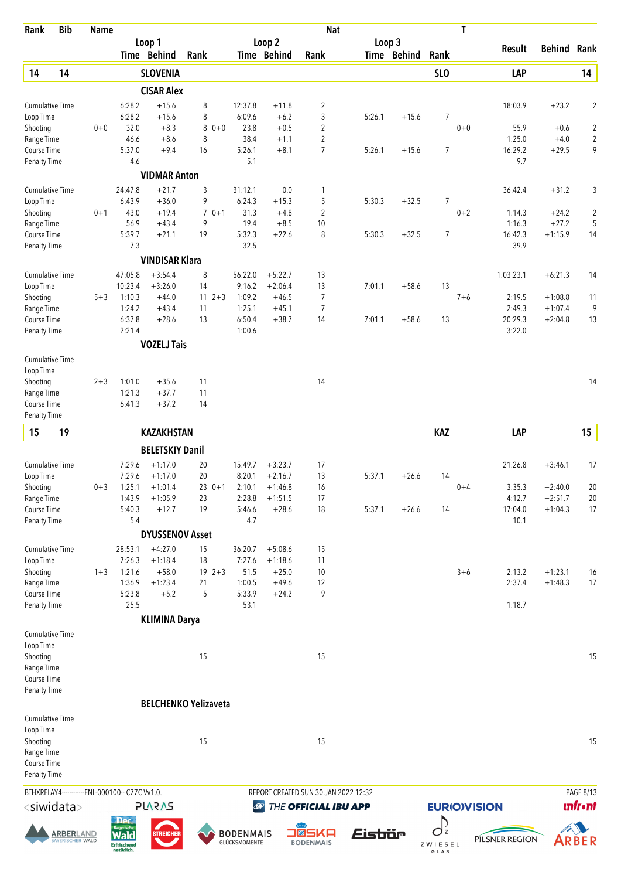| Rank                                | <b>Bib</b>       | <b>Name</b> |                                                |                              |                     |            |                   |                       | <b>Nat</b>                           |         |             |                     | T                  |                   |                        |                         |
|-------------------------------------|------------------|-------------|------------------------------------------------|------------------------------|---------------------|------------|-------------------|-----------------------|--------------------------------------|---------|-------------|---------------------|--------------------|-------------------|------------------------|-------------------------|
|                                     |                  |             |                                                | Loop 1<br>Time Behind        | Rank                |            |                   | Loop 2<br>Time Behind | Rank                                 | Loop 3  | Time Behind | Rank                |                    | Result            | <b>Behind Rank</b>     |                         |
|                                     |                  |             |                                                |                              |                     |            |                   |                       |                                      |         |             |                     |                    |                   |                        |                         |
| 14                                  | 14               |             |                                                | <b>SLOVENIA</b>              |                     |            |                   |                       |                                      |         |             | SL <sub>O</sub>     |                    | LAP               |                        | 14                      |
|                                     |                  |             |                                                | <b>CISAR Alex</b><br>$+15.6$ |                     |            |                   |                       |                                      |         |             |                     |                    |                   |                        |                         |
| <b>Cumulative Time</b><br>Loop Time |                  |             | 6:28.2<br>6:28.2                               | $+15.6$                      | 8<br>8              |            | 12:37.8<br>6:09.6 | $+11.8$<br>$+6.2$     | 2<br>3                               | 5:26.1  | $+15.6$     | 7                   |                    | 18:03.9           | $+23.2$                | $\overline{c}$          |
| Shooting                            |                  | $0 + 0$     | 32.0                                           | $+8.3$                       | 8                   | $0 + 0$    | 23.8              | $+0.5$                | $\overline{2}$                       |         |             |                     | $0 + 0$            | 55.9              | $+0.6$                 | $\boldsymbol{2}$        |
| Range Time                          |                  |             | 46.6                                           | $+8.6$                       | 8                   |            | 38.4              | $+1.1$                | $\overline{2}$                       |         |             |                     |                    | 1:25.0            | $+4.0$                 | $\sqrt{2}$              |
| Course Time                         |                  |             | 5:37.0                                         | $+9.4$                       | 16                  |            | 5:26.1            | $+8.1$                | $\overline{7}$                       | 5:26.1  | $+15.6$     | $\overline{7}$      |                    | 16:29.2           | $+29.5$                | 9                       |
| <b>Penalty Time</b>                 |                  |             | 4.6                                            |                              |                     |            | 5.1               |                       |                                      |         |             |                     |                    | 9.7               |                        |                         |
|                                     |                  |             |                                                | <b>VIDMAR Anton</b>          |                     |            |                   |                       |                                      |         |             |                     |                    |                   |                        |                         |
| <b>Cumulative Time</b>              |                  |             | 24:47.8                                        | $+21.7$                      | 3                   |            | 31:12.1           | $0.0\,$               | 1                                    |         |             |                     |                    | 36:42.4           | $+31.2$                | 3                       |
| Loop Time<br>Shooting               |                  | $0 + 1$     | 6:43.9<br>43.0                                 | $+36.0$<br>$+19.4$           | 9<br>$\overline{7}$ | $0 + 1$    | 6:24.3<br>31.3    | $+15.3$<br>$+4.8$     | 5<br>$\overline{c}$                  | 5:30.3  | $+32.5$     | 7                   | $0 + 2$            | 1:14.3            | $+24.2$                | $\overline{\mathbf{c}}$ |
| Range Time                          |                  |             | 56.9                                           | $+43.4$                      | 9                   |            | 19.4              | $+8.5$                | 10                                   |         |             |                     |                    | 1:16.3            | $+27.2$                | 5                       |
| Course Time                         |                  |             | 5:39.7                                         | $+21.1$                      | 19                  |            | 5:32.3            | $+22.6$               | 8                                    | 5:30.3  | $+32.5$     | 7                   |                    | 16:42.3           | $+1:15.9$              | 14                      |
| <b>Penalty Time</b>                 |                  |             | 7.3                                            |                              |                     |            | 32.5              |                       |                                      |         |             |                     |                    | 39.9              |                        |                         |
|                                     |                  |             |                                                | <b>VINDISAR Klara</b>        |                     |            |                   |                       |                                      |         |             |                     |                    |                   |                        |                         |
| <b>Cumulative Time</b>              |                  |             | 47:05.8                                        | $+3:54.4$                    | 8                   |            | 56:22.0           | $+5:22.7$             | 13                                   |         |             |                     |                    | 1:03:23.1         | $+6:21.3$              | 14                      |
| Loop Time                           |                  |             | 10:23.4                                        | $+3:26.0$                    | 14                  |            | 9:16.2            | $+2:06.4$             | 13                                   | 7:01.1  | $+58.6$     | 13                  |                    |                   |                        |                         |
| Shooting                            |                  | $5 + 3$     | 1:10.3                                         | $+44.0$                      | 11                  | $2 + 3$    | 1:09.2            | $+46.5$               | 7                                    |         |             |                     | $7 + 6$            | 2:19.5            | $+1:08.8$              | 11                      |
| Range Time<br>Course Time           |                  |             | 1:24.2<br>6:37.8                               | $+43.4$<br>$+28.6$           | 11<br>13            |            | 1:25.1<br>6:50.4  | $+45.1$<br>$+38.7$    | $\overline{7}$<br>14                 | 7:01.1  | $+58.6$     | 13                  |                    | 2:49.3<br>20:29.3 | $+1:07.4$<br>$+2:04.8$ | 9<br>13                 |
| Penalty Time                        |                  |             | 2:21.4                                         |                              |                     |            | 1:00.6            |                       |                                      |         |             |                     |                    | 3:22.0            |                        |                         |
|                                     |                  |             |                                                | <b>VOZELJ Tais</b>           |                     |            |                   |                       |                                      |         |             |                     |                    |                   |                        |                         |
| <b>Cumulative Time</b>              |                  |             |                                                |                              |                     |            |                   |                       |                                      |         |             |                     |                    |                   |                        |                         |
| Loop Time                           |                  |             |                                                |                              |                     |            |                   |                       |                                      |         |             |                     |                    |                   |                        |                         |
| Shooting                            |                  | $2 + 3$     | 1:01.0                                         | $+35.6$                      | 11                  |            |                   |                       | 14                                   |         |             |                     |                    |                   |                        | 14                      |
| Range Time                          |                  |             | 1:21.3                                         | $+37.7$                      | 11                  |            |                   |                       |                                      |         |             |                     |                    |                   |                        |                         |
| Course Time                         |                  |             | 6:41.3                                         | $+37.2$                      | 14                  |            |                   |                       |                                      |         |             |                     |                    |                   |                        |                         |
| <b>Penalty Time</b>                 |                  |             |                                                |                              |                     |            |                   |                       |                                      |         |             |                     |                    |                   |                        |                         |
| 15                                  | 19               |             |                                                | <b>KAZAKHSTAN</b>            |                     |            |                   |                       |                                      |         |             | <b>KAZ</b>          |                    | LAP               |                        | 15                      |
|                                     |                  |             |                                                | <b>BELETSKIY Danil</b>       |                     |            |                   |                       |                                      |         |             |                     |                    |                   |                        |                         |
| <b>Cumulative Time</b>              |                  |             | 7:29.6                                         | $+1:17.0$                    | 20                  |            | 15:49.7           | $+3:23.7$             | 17                                   |         |             |                     |                    | 21:26.8           | $+3:46.1$              | 17                      |
| Loop Time                           |                  |             | 7:29.6                                         | $+1:17.0$                    | 20                  |            | 8:20.1            | $+2:16.7$             | 13                                   | 5:37.1  | $+26.6$     | 14                  |                    |                   |                        |                         |
| Shooting                            |                  | $0 + 3$     | 1:25.1                                         | $+1:01.4$                    | 23                  | $230+1$    | 2:10.1            | $+1:46.8$             | 16                                   |         |             |                     | $0 + 4$            | 3:35.3<br>4:12.7  | $+2:40.0$              | 20                      |
| Range Time<br>Course Time           |                  |             | 1:43.9<br>5:40.3                               | $+1:05.9$<br>$+12.7$         | 19                  |            | 2:28.8<br>5:46.6  | $+1:51.5$<br>$+28.6$  | 17<br>18                             | 5:37.1  | $+26.6$     | 14                  |                    | 17:04.0           | $+2:51.7$<br>$+1:04.3$ | 20<br>17                |
| <b>Penalty Time</b>                 |                  |             | 5.4                                            |                              |                     |            | 4.7               |                       |                                      |         |             |                     |                    | 10.1              |                        |                         |
|                                     |                  |             |                                                | <b>DYUSSENOV Asset</b>       |                     |            |                   |                       |                                      |         |             |                     |                    |                   |                        |                         |
| <b>Cumulative Time</b>              |                  |             | 28:53.1                                        | $+4:27.0$                    | 15                  |            | 36:20.7           | $+5:08.6$             | 15                                   |         |             |                     |                    |                   |                        |                         |
| Loop Time                           |                  |             | 7:26.3                                         | $+1:18.4$                    | 18                  |            | 7:27.6            | $+1:18.6$             | 11                                   |         |             |                     |                    |                   |                        |                         |
| Shooting                            |                  | $1 + 3$     | 1:21.6                                         | $+58.0$                      |                     | $19 \t2+3$ | 51.5              | $+25.0$               | 10                                   |         |             |                     | $3 + 6$            | 2:13.2            | $+1:23.1$              | 16                      |
| Range Time                          |                  |             | 1:36.9                                         | $+1:23.4$                    | 21                  |            | 1:00.5            | $+49.6$               | 12                                   |         |             |                     |                    | 2:37.4            | $+1:48.3$              | 17                      |
| Course Time                         |                  |             | 5:23.8                                         | $+5.2$                       | 5                   |            | 5:33.9            | $+24.2$               | 9                                    |         |             |                     |                    |                   |                        |                         |
| <b>Penalty Time</b>                 |                  |             | 25.5                                           |                              |                     |            | 53.1              |                       |                                      |         |             |                     |                    | 1:18.7            |                        |                         |
|                                     |                  |             |                                                | <b>KLIMINA Darya</b>         |                     |            |                   |                       |                                      |         |             |                     |                    |                   |                        |                         |
| <b>Cumulative Time</b><br>Loop Time |                  |             |                                                |                              |                     |            |                   |                       |                                      |         |             |                     |                    |                   |                        |                         |
| Shooting                            |                  |             |                                                |                              | 15                  |            |                   |                       | 15                                   |         |             |                     |                    |                   |                        | 15                      |
| Range Time                          |                  |             |                                                |                              |                     |            |                   |                       |                                      |         |             |                     |                    |                   |                        |                         |
| Course Time                         |                  |             |                                                |                              |                     |            |                   |                       |                                      |         |             |                     |                    |                   |                        |                         |
| <b>Penalty Time</b>                 |                  |             |                                                |                              |                     |            |                   |                       |                                      |         |             |                     |                    |                   |                        |                         |
|                                     |                  |             |                                                | <b>BELCHENKO Yelizaveta</b>  |                     |            |                   |                       |                                      |         |             |                     |                    |                   |                        |                         |
| <b>Cumulative Time</b>              |                  |             |                                                |                              |                     |            |                   |                       |                                      |         |             |                     |                    |                   |                        |                         |
| Loop Time                           |                  |             |                                                |                              |                     |            |                   |                       |                                      |         |             |                     |                    |                   |                        |                         |
| Shooting<br>Range Time              |                  |             |                                                |                              | 15                  |            |                   |                       | 15                                   |         |             |                     |                    |                   |                        | 15                      |
| Course Time                         |                  |             |                                                |                              |                     |            |                   |                       |                                      |         |             |                     |                    |                   |                        |                         |
| Penalty Time                        |                  |             |                                                |                              |                     |            |                   |                       |                                      |         |             |                     |                    |                   |                        |                         |
|                                     |                  |             | BTHXRELAY4------------FNL-000100-- C77C Vv1.0. |                              |                     |            |                   |                       | REPORT CREATED SUN 30 JAN 2022 12:32 |         |             |                     |                    |                   |                        | PAGE 8/13               |
|                                     | $<$ siwidata $>$ |             |                                                | <b>5V2772</b>                |                     |            | $\bigcirc$        |                       | THE OFFICIAL IBU APP                 |         |             |                     | <b>EURIOVISION</b> |                   |                        | <b>unfr</b> •nt         |
|                                     |                  |             | <b>Der</b>                                     |                              |                     |            |                   |                       |                                      |         |             |                     |                    |                   |                        |                         |
|                                     | <u>ARBERLAND</u> |             | <b>Rayerisch</b><br><b>Wald</b>                | <b>STREICHEI</b>             |                     |            | <b>BODENMAIS</b>  |                       | 5KA<br>∎⊠                            | Eistiür |             | $\int_{\mathbb{Z}}$ |                    |                   |                        |                         |
|                                     | AYERISCHER WALD  |             | Erfrischend<br>natürlich.                      |                              |                     |            | GLÜCKSMOMENTE     |                       | <b>BODENMAIS</b>                     |         |             | ZWIESEL             |                    | PILSNER REGION    |                        | ARBER                   |
|                                     |                  |             |                                                |                              |                     |            |                   |                       |                                      |         |             | GLAS                |                    |                   |                        |                         |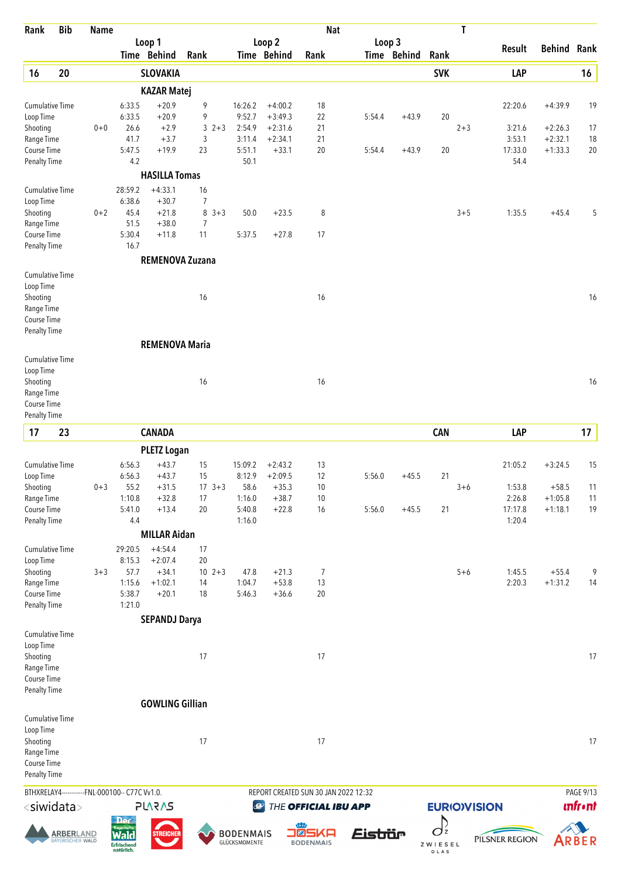| Rank                               | <b>Bib</b>                           | <b>Name</b> |                                          |                        |                      |            |                                   |                        | <b>Nat</b>           |                                      |             |                     | T                  |                   |                    |                |
|------------------------------------|--------------------------------------|-------------|------------------------------------------|------------------------|----------------------|------------|-----------------------------------|------------------------|----------------------|--------------------------------------|-------------|---------------------|--------------------|-------------------|--------------------|----------------|
|                                    |                                      |             |                                          | Loop 1                 |                      |            |                                   | Loop 2                 |                      | Loop 3                               |             |                     |                    | Result            | <b>Behind Rank</b> |                |
|                                    |                                      |             |                                          | Time Behind            | Rank                 |            |                                   | Time Behind            | Rank                 |                                      | Time Behind | Rank                |                    |                   |                    |                |
| 16                                 | 20                                   |             |                                          | <b>SLOVAKIA</b>        |                      |            |                                   |                        |                      |                                      |             | <b>SVK</b>          |                    | LAP               |                    | 16             |
|                                    |                                      |             |                                          | <b>KAZAR Matej</b>     |                      |            |                                   |                        |                      |                                      |             |                     |                    |                   |                    |                |
| <b>Cumulative Time</b>             |                                      |             | 6:33.5                                   | $+20.9$                | 9                    |            | 16:26.2                           | $+4:00.2$              | 18                   |                                      |             |                     |                    | 22:20.6           | $+4:39.9$          | 19             |
| Loop Time<br>Shooting              |                                      | $0 + 0$     | 6:33.5<br>26.6                           | $+20.9$<br>$+2.9$      | 9                    | $3 \t2+3$  | 9:52.7<br>2:54.9                  | $+3:49.3$<br>$+2:31.6$ | 22<br>21             | 5:54.4                               | $+43.9$     | 20                  | $2 + 3$            | 3:21.6            | $+2:26.3$          | 17             |
| Range Time                         |                                      |             | 41.7                                     | $+3.7$                 | 3                    |            | 3:11.4                            | $+2:34.1$              | 21                   |                                      |             |                     |                    | 3:53.1            | $+2:32.1$          | $18\,$         |
| Course Time                        |                                      |             | 5:47.5                                   | $+19.9$                | 23                   |            | 5:51.1                            | $+33.1$                | 20                   | 5:54.4                               | $+43.9$     | 20                  |                    | 17:33.0           | $+1:33.3$          | 20             |
| <b>Penalty Time</b>                |                                      |             | 4.2                                      |                        |                      |            | 50.1                              |                        |                      |                                      |             |                     |                    | 54.4              |                    |                |
|                                    |                                      |             |                                          | <b>HASILLA Tomas</b>   |                      |            |                                   |                        |                      |                                      |             |                     |                    |                   |                    |                |
| <b>Cumulative Time</b>             |                                      |             | 28:59.2                                  | $+4:33.1$              | 16                   |            |                                   |                        |                      |                                      |             |                     |                    |                   |                    |                |
| Loop Time                          |                                      |             | 6:38.6                                   | $+30.7$                | 7                    |            |                                   |                        |                      |                                      |             |                     |                    |                   |                    |                |
| Shooting                           |                                      | $0 + 2$     | 45.4                                     | $+21.8$                |                      | $8 \t3+3$  | 50.0                              | $+23.5$                | 8                    |                                      |             |                     | $3 + 5$            | 1:35.5            | $+45.4$            | 5              |
| Range Time<br>Course Time          |                                      |             | 51.5<br>5:30.4                           | $+38.0$<br>$+11.8$     | $\overline{7}$<br>11 |            | 5:37.5                            | $+27.8$                | 17                   |                                      |             |                     |                    |                   |                    |                |
| <b>Penalty Time</b>                |                                      |             | 16.7                                     |                        |                      |            |                                   |                        |                      |                                      |             |                     |                    |                   |                    |                |
|                                    |                                      |             |                                          | <b>REMENOVA Zuzana</b> |                      |            |                                   |                        |                      |                                      |             |                     |                    |                   |                    |                |
| Cumulative Time                    |                                      |             |                                          |                        |                      |            |                                   |                        |                      |                                      |             |                     |                    |                   |                    |                |
| Loop Time                          |                                      |             |                                          |                        |                      |            |                                   |                        |                      |                                      |             |                     |                    |                   |                    |                |
| Shooting                           |                                      |             |                                          |                        | 16                   |            |                                   |                        | 16                   |                                      |             |                     |                    |                   |                    | 16             |
| Range Time<br>Course Time          |                                      |             |                                          |                        |                      |            |                                   |                        |                      |                                      |             |                     |                    |                   |                    |                |
| <b>Penalty Time</b>                |                                      |             |                                          |                        |                      |            |                                   |                        |                      |                                      |             |                     |                    |                   |                    |                |
|                                    |                                      |             |                                          | <b>REMENOVA Maria</b>  |                      |            |                                   |                        |                      |                                      |             |                     |                    |                   |                    |                |
| <b>Cumulative Time</b>             |                                      |             |                                          |                        |                      |            |                                   |                        |                      |                                      |             |                     |                    |                   |                    |                |
| Loop Time                          |                                      |             |                                          |                        |                      |            |                                   |                        |                      |                                      |             |                     |                    |                   |                    |                |
| Shooting                           |                                      |             |                                          |                        | 16                   |            |                                   |                        | 16                   |                                      |             |                     |                    |                   |                    | 16             |
| Range Time                         |                                      |             |                                          |                        |                      |            |                                   |                        |                      |                                      |             |                     |                    |                   |                    |                |
| Course Time                        |                                      |             |                                          |                        |                      |            |                                   |                        |                      |                                      |             |                     |                    |                   |                    |                |
| <b>Penalty Time</b>                |                                      |             |                                          |                        |                      |            |                                   |                        |                      |                                      |             |                     |                    |                   |                    |                |
| 17                                 | 23                                   |             |                                          | <b>CANADA</b>          |                      |            |                                   |                        |                      |                                      |             | <b>CAN</b>          |                    | LAP               |                    | 17             |
|                                    |                                      |             |                                          | <b>PLETZ Logan</b>     |                      |            |                                   |                        |                      |                                      |             |                     |                    |                   |                    |                |
| <b>Cumulative Time</b>             |                                      |             | 6:56.3                                   | $+43.7$                | 15                   |            | 15:09.2                           | $+2:43.2$              | 13                   |                                      |             |                     |                    | 21:05.2           | $+3:24.5$          | 15             |
| Loop Time                          |                                      |             | 6:56.3                                   | $+43.7$                | 15                   |            | 8:12.9                            | $+2:09.5$              | 12                   | 5:56.0                               | $+45.5$     | 21                  |                    |                   |                    |                |
| Shooting                           |                                      | $0 + 3$     | 55.2                                     | $+31.5$                |                      | $17 \t3+3$ | 58.6                              | $+35.3$                | $10$                 |                                      |             |                     | $3 + 6$            | 1:53.8            | $+58.5$            | 11             |
| Range Time                         |                                      |             | 1:10.8                                   | $+32.8$                | 17<br>20             |            | 1:16.0                            | $+38.7$                | 10<br>16             |                                      |             |                     |                    | 2:26.8            | $+1:05.8$          | 11<br>19       |
| Course Time<br><b>Penalty Time</b> |                                      |             | 5:41.0<br>4.4                            | $+13.4$                |                      |            | 5:40.8<br>1:16.0                  | $+22.8$                |                      | 5:56.0                               | $+45.5$     | 21                  |                    | 17:17.8<br>1:20.4 | $+1:18.1$          |                |
|                                    |                                      |             |                                          | <b>MILLAR Aidan</b>    |                      |            |                                   |                        |                      |                                      |             |                     |                    |                   |                    |                |
| <b>Cumulative Time</b>             |                                      |             | 29:20.5                                  | $+4:54.4$              | 17                   |            |                                   |                        |                      |                                      |             |                     |                    |                   |                    |                |
| Loop Time                          |                                      |             | 8:15.3                                   | $+2:07.4$              | 20                   |            |                                   |                        |                      |                                      |             |                     |                    |                   |                    |                |
| Shooting                           |                                      | $3 + 3$     | 57.7                                     | $+34.1$                | $10 \t2+3$           |            | 47.8                              | $+21.3$                | 7                    |                                      |             |                     | $5 + 6$            | 1:45.5            | $+55.4$            | 9              |
| Range Time                         |                                      |             | 1:15.6                                   | $+1:02.1$              | 14                   |            | 1:04.7                            | $+53.8$                | 13                   |                                      |             |                     |                    | 2:20.3            | $+1:31.2$          | 14             |
| Course Time                        |                                      |             | 5:38.7                                   | $+20.1$                | 18                   |            | 5:46.3                            | $+36.6$                | 20                   |                                      |             |                     |                    |                   |                    |                |
| <b>Penalty Time</b>                |                                      |             | 1:21.0                                   |                        |                      |            |                                   |                        |                      |                                      |             |                     |                    |                   |                    |                |
|                                    |                                      |             |                                          | <b>SEPANDJ Darya</b>   |                      |            |                                   |                        |                      |                                      |             |                     |                    |                   |                    |                |
| <b>Cumulative Time</b>             |                                      |             |                                          |                        |                      |            |                                   |                        |                      |                                      |             |                     |                    |                   |                    |                |
| Loop Time<br>Shooting              |                                      |             |                                          |                        | 17                   |            |                                   |                        | 17                   |                                      |             |                     |                    |                   |                    | 17             |
| Range Time                         |                                      |             |                                          |                        |                      |            |                                   |                        |                      |                                      |             |                     |                    |                   |                    |                |
| Course Time                        |                                      |             |                                          |                        |                      |            |                                   |                        |                      |                                      |             |                     |                    |                   |                    |                |
| <b>Penalty Time</b>                |                                      |             |                                          |                        |                      |            |                                   |                        |                      |                                      |             |                     |                    |                   |                    |                |
|                                    |                                      |             |                                          | <b>GOWLING Gillian</b> |                      |            |                                   |                        |                      |                                      |             |                     |                    |                   |                    |                |
| Cumulative Time                    |                                      |             |                                          |                        |                      |            |                                   |                        |                      |                                      |             |                     |                    |                   |                    |                |
| Loop Time                          |                                      |             |                                          |                        |                      |            |                                   |                        |                      |                                      |             |                     |                    |                   |                    |                |
| Shooting                           |                                      |             |                                          |                        | 17                   |            |                                   |                        | 17                   |                                      |             |                     |                    |                   |                    | 17             |
| Range Time                         |                                      |             |                                          |                        |                      |            |                                   |                        |                      |                                      |             |                     |                    |                   |                    |                |
| Course Time<br><b>Penalty Time</b> |                                      |             |                                          |                        |                      |            |                                   |                        |                      |                                      |             |                     |                    |                   |                    |                |
|                                    |                                      |             |                                          |                        |                      |            |                                   |                        |                      |                                      |             |                     |                    |                   |                    |                |
| BTHXRELAY4--                       |                                      |             | ---FNL-000100-- C77C Vv1.0.              |                        |                      |            |                                   |                        |                      | REPORT CREATED SUN 30 JAN 2022 12:32 |             |                     |                    |                   |                    | PAGE 9/13      |
| $<$ siwidata $>$                   |                                      |             |                                          | <b>SV2V7L</b>          |                      |            | $\bigcirc$                        |                        | THE OFFICIAL IBU APP |                                      |             |                     | <b>EURIOVISION</b> |                   |                    | <b>unfront</b> |
|                                    |                                      |             | <b>Der</b><br><b>Rayerische</b>          |                        |                      |            |                                   |                        | <b>J®SKA</b>         |                                      |             | D<br>O <sub>z</sub> |                    |                   |                    |                |
|                                    | <b>ARBERLAND</b><br>BAYERISCHER WALD |             | <b>Wald</b><br>Erfrischend<br>natürlich. | <b>STREICHER</b>       |                      |            | <b>BODENMAIS</b><br>GLÜCKSMOMENTE |                        | <b>BODENMAIS</b>     | <u>Eistiür</u>                       |             | ZWIESEL<br>GLAS     |                    | PILSNER REGION    |                    | ARBER          |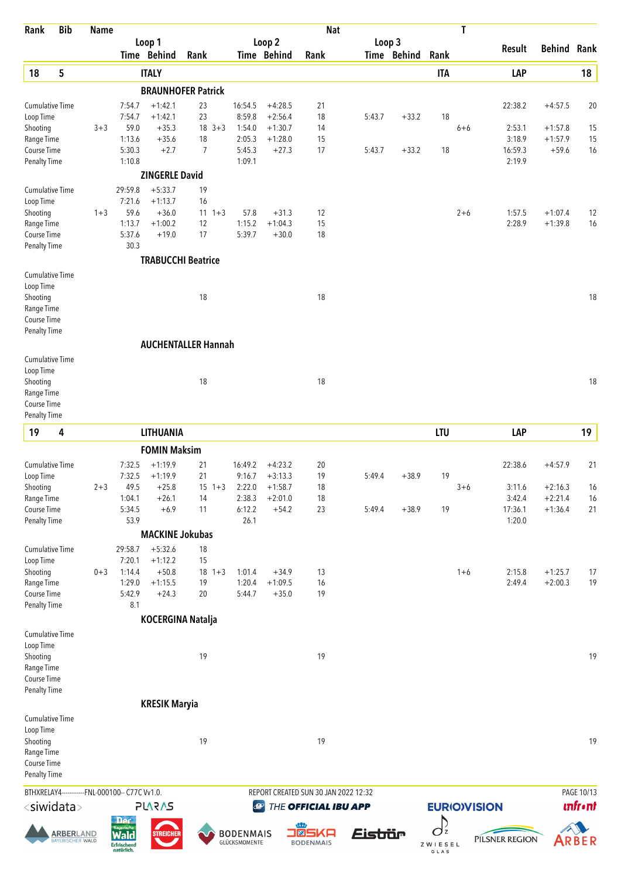| Rank                                | <b>Bib</b>                           | <b>Name</b> |                                                |                        |                            |                                   |                        | <b>Nat</b>                           |         |             |                           | T       |                     |                        |                |
|-------------------------------------|--------------------------------------|-------------|------------------------------------------------|------------------------|----------------------------|-----------------------------------|------------------------|--------------------------------------|---------|-------------|---------------------------|---------|---------------------|------------------------|----------------|
|                                     |                                      |             |                                                | Loop 1                 |                            |                                   | Loop 2                 |                                      |         | Loop 3      |                           |         | Result              | <b>Behind Rank</b>     |                |
|                                     |                                      |             |                                                | Time Behind            | Rank                       |                                   | Time Behind            | Rank                                 |         | Time Behind | Rank                      |         |                     |                        |                |
| 18                                  | 5                                    |             |                                                | <b>ITALY</b>           |                            |                                   |                        |                                      |         |             | <b>ITA</b>                |         | LAP                 |                        | 18             |
|                                     |                                      |             |                                                |                        | <b>BRAUNHOFER Patrick</b>  |                                   |                        |                                      |         |             |                           |         |                     |                        |                |
| <b>Cumulative Time</b><br>Loop Time |                                      |             | 7:54.7<br>7:54.7                               | $+1:42.1$<br>$+1:42.1$ | 23<br>23                   | 16:54.5<br>8:59.8                 | $+4:28.5$<br>$+2:56.4$ | 21<br>18                             | 5:43.7  | $+33.2$     | 18                        |         | 22:38.2             | $+4:57.5$              | 20             |
| Shooting                            |                                      | $3 + 3$     | 59.0                                           | $+35.3$                | $18 \t3+3$                 | 1:54.0                            | $+1:30.7$              | 14                                   |         |             |                           | $6 + 6$ | 2:53.1              | $+1:57.8$              | 15             |
| Range Time                          |                                      |             | 1:13.6                                         | $+35.6$                | 18                         | 2:05.3                            | $+1:28.0$              | 15                                   |         |             |                           |         | 3:18.9              | $+1:57.9$              | 15             |
| Course Time                         |                                      |             | 5:30.3                                         | $+2.7$                 | $\overline{7}$             | 5:45.3                            | $+27.3$                | 17                                   | 5:43.7  | $+33.2$     | 18                        |         | 16:59.3             | $+59.6$                | 16             |
| Penalty Time                        |                                      |             | 1:10.8                                         |                        |                            | 1:09.1                            |                        |                                      |         |             |                           |         | 2:19.9              |                        |                |
|                                     |                                      |             |                                                | <b>ZINGERLE David</b>  |                            |                                   |                        |                                      |         |             |                           |         |                     |                        |                |
| Cumulative Time                     |                                      |             | 29:59.8                                        | $+5:33.7$              | 19                         |                                   |                        |                                      |         |             |                           |         |                     |                        |                |
| Loop Time                           |                                      | $1 + 3$     | 7:21.6<br>59.6                                 | $+1:13.7$<br>$+36.0$   | 16<br>$11 \t1+3$           | 57.8                              | $+31.3$                | 12                                   |         |             |                           | $2 + 6$ | 1:57.5              | $+1:07.4$              |                |
| Shooting<br>Range Time              |                                      |             | 1:13.7                                         | $+1:00.2$              | 12                         | 1:15.2                            | $+1:04.3$              | 15                                   |         |             |                           |         | 2:28.9              | $+1:39.8$              | 12<br>16       |
| Course Time                         |                                      |             | 5:37.6                                         | $+19.0$                | 17                         | 5:39.7                            | $+30.0$                | 18                                   |         |             |                           |         |                     |                        |                |
| <b>Penalty Time</b>                 |                                      |             | 30.3                                           |                        |                            |                                   |                        |                                      |         |             |                           |         |                     |                        |                |
|                                     |                                      |             |                                                |                        | <b>TRABUCCHI Beatrice</b>  |                                   |                        |                                      |         |             |                           |         |                     |                        |                |
| Cumulative Time                     |                                      |             |                                                |                        |                            |                                   |                        |                                      |         |             |                           |         |                     |                        |                |
| Loop Time                           |                                      |             |                                                |                        |                            |                                   |                        |                                      |         |             |                           |         |                     |                        |                |
| Shooting<br>Range Time              |                                      |             |                                                |                        | 18                         |                                   |                        | 18                                   |         |             |                           |         |                     |                        | 18             |
| Course Time                         |                                      |             |                                                |                        |                            |                                   |                        |                                      |         |             |                           |         |                     |                        |                |
| <b>Penalty Time</b>                 |                                      |             |                                                |                        |                            |                                   |                        |                                      |         |             |                           |         |                     |                        |                |
|                                     |                                      |             |                                                |                        | <b>AUCHENTALLER Hannah</b> |                                   |                        |                                      |         |             |                           |         |                     |                        |                |
| Cumulative Time                     |                                      |             |                                                |                        |                            |                                   |                        |                                      |         |             |                           |         |                     |                        |                |
| Loop Time                           |                                      |             |                                                |                        |                            |                                   |                        |                                      |         |             |                           |         |                     |                        |                |
| Shooting                            |                                      |             |                                                |                        | 18                         |                                   |                        | 18                                   |         |             |                           |         |                     |                        | 18             |
| Range Time                          |                                      |             |                                                |                        |                            |                                   |                        |                                      |         |             |                           |         |                     |                        |                |
| Course Time<br><b>Penalty Time</b>  |                                      |             |                                                |                        |                            |                                   |                        |                                      |         |             |                           |         |                     |                        |                |
|                                     |                                      |             |                                                |                        |                            |                                   |                        |                                      |         |             |                           |         |                     |                        |                |
| 19                                  | 4                                    |             |                                                | <b>LITHUANIA</b>       |                            |                                   |                        |                                      |         |             | <b>LTU</b>                |         | LAP                 |                        | 19             |
|                                     |                                      |             |                                                | <b>FOMIN Maksim</b>    |                            |                                   |                        |                                      |         |             |                           |         |                     |                        |                |
| Cumulative Time                     |                                      |             | 7:32.5                                         | $+1:19.9$              | 21                         | 16:49.2                           | $+4:23.2$              | 20                                   |         |             |                           |         | 22:38.6             | $+4:57.9$              | 21             |
| Loop Time                           |                                      |             | 7:32.5                                         | $+1:19.9$              | 21                         | 9:16.7                            | $+3:13.3$              | 19                                   | 5:49.4  | $+38.9$     | 19                        |         |                     |                        |                |
| Shooting<br>Range Time              |                                      | $2 + 3$     | 49.5<br>1:04.1                                 | $+25.8$<br>$+26.1$     | $15 \t1+3$<br>14           | 2:22.0<br>2:38.3                  | $+1:58.7$<br>$+2:01.0$ | 18<br>18                             |         |             |                           | $3 + 6$ | 3:11.6<br>3:42.4    | $+2:16.3$<br>$+2:21.4$ | 16<br>16       |
| Course Time                         |                                      |             | 5:34.5                                         | $+6.9$                 | 11                         | 6:12.2                            | $+54.2$                | 23                                   | 5:49.4  | $+38.9$     | 19                        |         | 17:36.1             | $+1:36.4$              | 21             |
| <b>Penalty Time</b>                 |                                      |             | 53.9                                           |                        |                            | 26.1                              |                        |                                      |         |             |                           |         | 1:20.0              |                        |                |
|                                     |                                      |             |                                                | <b>MACKINE Jokubas</b> |                            |                                   |                        |                                      |         |             |                           |         |                     |                        |                |
| Cumulative Time                     |                                      |             | 29:58.7                                        | $+5:32.6$              | 18                         |                                   |                        |                                      |         |             |                           |         |                     |                        |                |
| Loop Time                           |                                      |             | 7:20.1                                         | $+1:12.2$              | 15                         |                                   |                        |                                      |         |             |                           |         |                     |                        |                |
| Shooting                            |                                      | $0 + 3$     | 1:14.4                                         | $+50.8$                | $18 + 3$                   | 1:01.4                            | $+34.9$                | 13                                   |         |             |                           | $1 + 6$ | 2:15.8              | $+1:25.7$              | 17             |
| Range Time                          |                                      |             | 1:29.0                                         | $+1:15.5$              | 19                         | 1:20.4                            | $+1:09.5$              | 16                                   |         |             |                           |         | 2:49.4              | $+2:00.3$              | 19             |
| Course Time<br><b>Penalty Time</b>  |                                      |             | 5:42.9<br>8.1                                  | $+24.3$                | 20                         | 5:44.7                            | $+35.0$                | 19                                   |         |             |                           |         |                     |                        |                |
|                                     |                                      |             |                                                |                        | <b>KOCERGINA Natalja</b>   |                                   |                        |                                      |         |             |                           |         |                     |                        |                |
| <b>Cumulative Time</b>              |                                      |             |                                                |                        |                            |                                   |                        |                                      |         |             |                           |         |                     |                        |                |
| Loop Time                           |                                      |             |                                                |                        |                            |                                   |                        |                                      |         |             |                           |         |                     |                        |                |
| Shooting                            |                                      |             |                                                |                        | 19                         |                                   |                        | 19                                   |         |             |                           |         |                     |                        | 19             |
| Range Time                          |                                      |             |                                                |                        |                            |                                   |                        |                                      |         |             |                           |         |                     |                        |                |
| Course Time                         |                                      |             |                                                |                        |                            |                                   |                        |                                      |         |             |                           |         |                     |                        |                |
| <b>Penalty Time</b>                 |                                      |             |                                                |                        |                            |                                   |                        |                                      |         |             |                           |         |                     |                        |                |
|                                     |                                      |             |                                                | <b>KRESIK Maryia</b>   |                            |                                   |                        |                                      |         |             |                           |         |                     |                        |                |
| Cumulative Time                     |                                      |             |                                                |                        |                            |                                   |                        |                                      |         |             |                           |         |                     |                        |                |
| Loop Time<br>Shooting               |                                      |             |                                                |                        | 19                         |                                   |                        | 19                                   |         |             |                           |         |                     |                        | 19             |
| Range Time                          |                                      |             |                                                |                        |                            |                                   |                        |                                      |         |             |                           |         |                     |                        |                |
| Course Time                         |                                      |             |                                                |                        |                            |                                   |                        |                                      |         |             |                           |         |                     |                        |                |
| <b>Penalty Time</b>                 |                                      |             |                                                |                        |                            |                                   |                        |                                      |         |             |                           |         |                     |                        |                |
|                                     |                                      |             | BTHXRELAY4------------FNL-000100-- C77C Vv1.0. |                        |                            |                                   |                        | REPORT CREATED SUN 30 JAN 2022 12:32 |         |             |                           |         |                     |                        | PAGE 10/13     |
| <siwidata></siwidata>               |                                      |             |                                                | <b>SVSVJS</b>          |                            |                                   | $\mathcal{Q}$          | THE OFFICIAL IBU APP                 |         |             |                           |         | <b>EURIO)VISION</b> |                        | <b>unfront</b> |
|                                     |                                      |             | <b>Der</b>                                     |                        |                            |                                   |                        |                                      |         |             | D                         |         |                     |                        |                |
|                                     | <b>ARBERLAND</b><br>BAYERISCHER WALD |             | <b>Bayerische</b><br><b>Erfrischend</b>        | <b>STREICHEF</b>       |                            | <b>BODENMAIS</b><br>GLÜCKSMOMENTE |                        | O®SKA<br><b>BODENMAIS</b>            | Eistiür |             | O <sub>z</sub><br>ZWIESEL |         | PILSNER REGION      |                        | ARBER          |
|                                     |                                      |             | natürlich.                                     |                        |                            |                                   |                        |                                      |         |             | GLAS                      |         |                     |                        |                |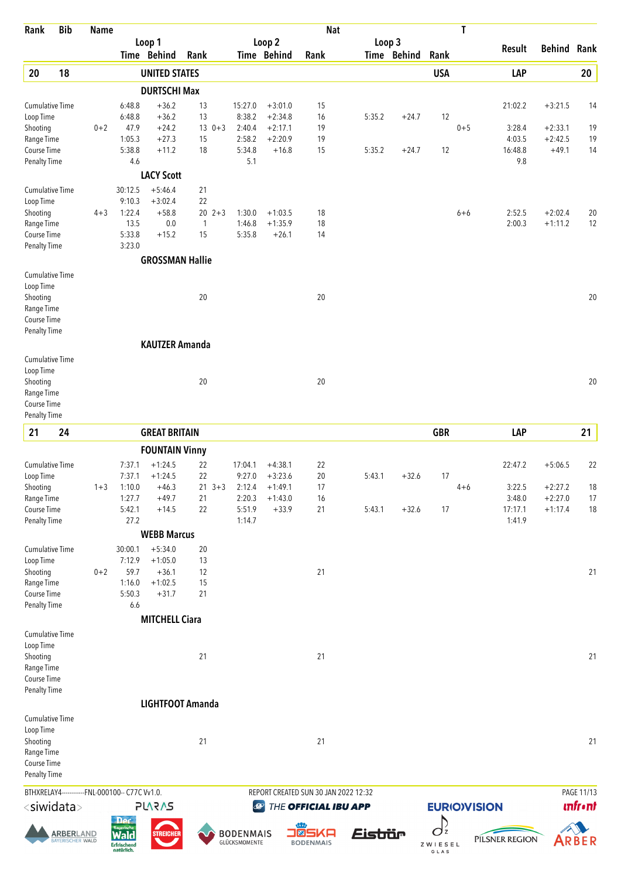| Rank                        | <b>Bib</b>        | <b>Name</b> |                                                |                        |                    |                  |                        | <b>Nat</b>                           |         |                       |                 | T       |                     |                        |                |
|-----------------------------|-------------------|-------------|------------------------------------------------|------------------------|--------------------|------------------|------------------------|--------------------------------------|---------|-----------------------|-----------------|---------|---------------------|------------------------|----------------|
|                             |                   |             |                                                | Loop 1<br>Time Behind  | Rank               |                  | Loop 2<br>Time Behind  | Rank                                 |         | Loop 3<br>Time Behind | Rank            |         | <b>Result</b>       | <b>Behind Rank</b>     |                |
| 20                          | 18                |             |                                                | <b>UNITED STATES</b>   |                    |                  |                        |                                      |         |                       | <b>USA</b>      |         | LAP                 |                        | 20             |
|                             |                   |             |                                                | <b>DURTSCHI Max</b>    |                    |                  |                        |                                      |         |                       |                 |         |                     |                        |                |
| <b>Cumulative Time</b>      |                   |             | 6:48.8                                         | $+36.2$                | 13                 | 15:27.0          | $+3:01.0$              | 15                                   |         |                       |                 |         | 21:02.2             | $+3:21.5$              | 14             |
| Loop Time                   |                   |             | 6:48.8                                         | $+36.2$                | 13                 | 8:38.2           | $+2:34.8$              | 16                                   | 5:35.2  | $+24.7$               | 12              |         |                     |                        |                |
| Shooting                    |                   | $0 + 2$     | 47.9                                           | $+24.2$                | $13 \t 0+3$        | 2:40.4           | $+2:17.1$              | 19                                   |         |                       |                 | $0 + 5$ | 3:28.4              | $+2:33.1$              | 19             |
| Range Time<br>Course Time   |                   |             | 1:05.3<br>5:38.8                               | $+27.3$<br>$+11.2$     | 15<br>18           | 2:58.2<br>5:34.8 | $+2:20.9$<br>$+16.8$   | 19<br>15                             | 5:35.2  | $+24.7$               | 12              |         | 4:03.5<br>16:48.8   | $+2:42.5$<br>$+49.1$   | 19<br>14       |
| <b>Penalty Time</b>         |                   |             | 4.6                                            |                        |                    | 5.1              |                        |                                      |         |                       |                 |         | 9.8                 |                        |                |
|                             |                   |             |                                                | <b>LACY Scott</b>      |                    |                  |                        |                                      |         |                       |                 |         |                     |                        |                |
| Cumulative Time             |                   |             | 30:12.5                                        | $+5:46.4$              | 21                 |                  |                        |                                      |         |                       |                 |         |                     |                        |                |
| Loop Time                   |                   |             | 9:10.3                                         | $+3:02.4$              | 22                 |                  |                        |                                      |         |                       |                 |         |                     |                        |                |
| Shooting                    |                   | $4 + 3$     | 1:22.4<br>13.5                                 | $+58.8$                | 20<br>$2 + 3$      | 1:30.0           | $+1:03.5$<br>$+1:35.9$ | 18                                   |         |                       |                 | $6 + 6$ | 2:52.5<br>2:00.3    | $+2:02.4$<br>$+1:11.2$ | 20             |
| Range Time<br>Course Time   |                   |             | 5:33.8                                         | 0.0<br>$+15.2$         | $\mathbf{1}$<br>15 | 1:46.8<br>5:35.8 | $+26.1$                | 18<br>14                             |         |                       |                 |         |                     |                        | 12             |
| Penalty Time                |                   |             | 3:23.0                                         |                        |                    |                  |                        |                                      |         |                       |                 |         |                     |                        |                |
|                             |                   |             |                                                | <b>GROSSMAN Hallie</b> |                    |                  |                        |                                      |         |                       |                 |         |                     |                        |                |
| Cumulative Time             |                   |             |                                                |                        |                    |                  |                        |                                      |         |                       |                 |         |                     |                        |                |
| Loop Time                   |                   |             |                                                |                        |                    |                  |                        |                                      |         |                       |                 |         |                     |                        |                |
| Shooting<br>Range Time      |                   |             |                                                |                        | 20                 |                  |                        | 20                                   |         |                       |                 |         |                     |                        | 20             |
| Course Time                 |                   |             |                                                |                        |                    |                  |                        |                                      |         |                       |                 |         |                     |                        |                |
| Penalty Time                |                   |             |                                                |                        |                    |                  |                        |                                      |         |                       |                 |         |                     |                        |                |
|                             |                   |             |                                                | <b>KAUTZER Amanda</b>  |                    |                  |                        |                                      |         |                       |                 |         |                     |                        |                |
| Cumulative Time             |                   |             |                                                |                        |                    |                  |                        |                                      |         |                       |                 |         |                     |                        |                |
| Loop Time                   |                   |             |                                                |                        |                    |                  |                        |                                      |         |                       |                 |         |                     |                        |                |
| Shooting<br>Range Time      |                   |             |                                                |                        | 20                 |                  |                        | 20                                   |         |                       |                 |         |                     |                        | 20             |
| Course Time                 |                   |             |                                                |                        |                    |                  |                        |                                      |         |                       |                 |         |                     |                        |                |
| <b>Penalty Time</b>         |                   |             |                                                |                        |                    |                  |                        |                                      |         |                       |                 |         |                     |                        |                |
| 21                          | 24                |             |                                                | <b>GREAT BRITAIN</b>   |                    |                  |                        |                                      |         |                       | <b>GBR</b>      |         | LAP                 |                        | 21             |
|                             |                   |             |                                                | <b>FOUNTAIN Vinny</b>  |                    |                  |                        |                                      |         |                       |                 |         |                     |                        |                |
| Cumulative Time             |                   |             | 7:37.1                                         | $+1:24.5$              | 22                 | 17:04.1          | $+4:38.1$              | 22                                   |         |                       |                 |         | 22:47.2             | $+5:06.5$              | 22             |
| Loop Time                   |                   |             | 7:37.1                                         | $+1:24.5$              | 22                 | 9:27.0           | $+3:23.6$              | 20                                   | 5:43.1  | $+32.6$               | 17              |         |                     |                        |                |
| Shooting                    |                   | $1 + 3$     | 1:10.0                                         | $+46.3$                | $21 \t3+3$         | 2:12.4           | $+1:49.1$              | 17                                   |         |                       |                 | 4+6     | 3:22.5              | $+2:27.2$              | 18             |
| Range Time<br>Course Time   |                   |             | 1:27.7<br>5:42.1                               | $+49.7$<br>$+14.5$     | 21<br>22           | 2:20.3<br>5:51.9 | $+1:43.0$<br>$+33.9$   | 16<br>21                             | 5:43.1  | $+32.6$               | 17              |         | 3:48.0<br>17:17.1   | $+2:27.0$<br>$+1:17.4$ | 17<br>18       |
| <b>Penalty Time</b>         |                   |             | 27.2                                           |                        |                    | 1:14.7           |                        |                                      |         |                       |                 |         | 1:41.9              |                        |                |
|                             |                   |             |                                                | <b>WEBB Marcus</b>     |                    |                  |                        |                                      |         |                       |                 |         |                     |                        |                |
| <b>Cumulative Time</b>      |                   |             | 30:00.1                                        | $+5:34.0$              | 20                 |                  |                        |                                      |         |                       |                 |         |                     |                        |                |
| Loop Time                   |                   |             | 7:12.9                                         | $+1:05.0$              | 13                 |                  |                        |                                      |         |                       |                 |         |                     |                        |                |
| Shooting                    |                   | $0 + 2$     | 59.7                                           | $+36.1$                | 12                 |                  |                        | 21                                   |         |                       |                 |         |                     |                        | 21             |
| Range Time                  |                   |             | 1:16.0<br>5:50.3                               | $+1:02.5$<br>$+31.7$   | 15<br>21           |                  |                        |                                      |         |                       |                 |         |                     |                        |                |
| Course Time<br>Penalty Time |                   |             | 6.6                                            |                        |                    |                  |                        |                                      |         |                       |                 |         |                     |                        |                |
|                             |                   |             |                                                | <b>MITCHELL Ciara</b>  |                    |                  |                        |                                      |         |                       |                 |         |                     |                        |                |
| Cumulative Time             |                   |             |                                                |                        |                    |                  |                        |                                      |         |                       |                 |         |                     |                        |                |
| Loop Time                   |                   |             |                                                |                        |                    |                  |                        |                                      |         |                       |                 |         |                     |                        |                |
| Shooting                    |                   |             |                                                |                        | 21                 |                  |                        | 21                                   |         |                       |                 |         |                     |                        | 21             |
| Range Time<br>Course Time   |                   |             |                                                |                        |                    |                  |                        |                                      |         |                       |                 |         |                     |                        |                |
| <b>Penalty Time</b>         |                   |             |                                                |                        |                    |                  |                        |                                      |         |                       |                 |         |                     |                        |                |
|                             |                   |             |                                                | LIGHTFOOT Amanda       |                    |                  |                        |                                      |         |                       |                 |         |                     |                        |                |
| Cumulative Time             |                   |             |                                                |                        |                    |                  |                        |                                      |         |                       |                 |         |                     |                        |                |
| Loop Time                   |                   |             |                                                |                        |                    |                  |                        |                                      |         |                       |                 |         |                     |                        |                |
| Shooting                    |                   |             |                                                |                        | 21                 |                  |                        | 21                                   |         |                       |                 |         |                     |                        | 21             |
| Range Time<br>Course Time   |                   |             |                                                |                        |                    |                  |                        |                                      |         |                       |                 |         |                     |                        |                |
| Penalty Time                |                   |             |                                                |                        |                    |                  |                        |                                      |         |                       |                 |         |                     |                        |                |
|                             |                   |             | BTHXRELAY4------------FNL-000100-- C77C Vv1.0. |                        |                    |                  |                        | REPORT CREATED SUN 30 JAN 2022 12:32 |         |                       |                 |         |                     |                        | PAGE 11/13     |
| <siwidata></siwidata>       |                   |             |                                                | <b>SVSVJS</b>          |                    |                  | $\mathcal{Q}$          | THE OFFICIAL IBU APP                 |         |                       |                 |         | <b>EURIO)VISION</b> |                        | <b>unfront</b> |
|                             |                   |             | <b>Der</b>                                     |                        |                    |                  |                        |                                      |         |                       | D               |         |                     |                        |                |
|                             | <b>ARBER</b> LAND |             | <b>Bayerische</b>                              | <b>STREICHER</b>       |                    | <b>BODENMAIS</b> |                        | O®SKA                                | Eistiür |                       | O <sub>z</sub>  |         | PILSNER REGION      |                        |                |
|                             | BAYERISCHER WALD  |             | <b>Erfrischend</b><br>natürlich.               |                        |                    | GLÜCKSMOMENTE    |                        | <b>BODENMAIS</b>                     |         |                       | ZWIESEL<br>GLAS |         |                     |                        | ARBER          |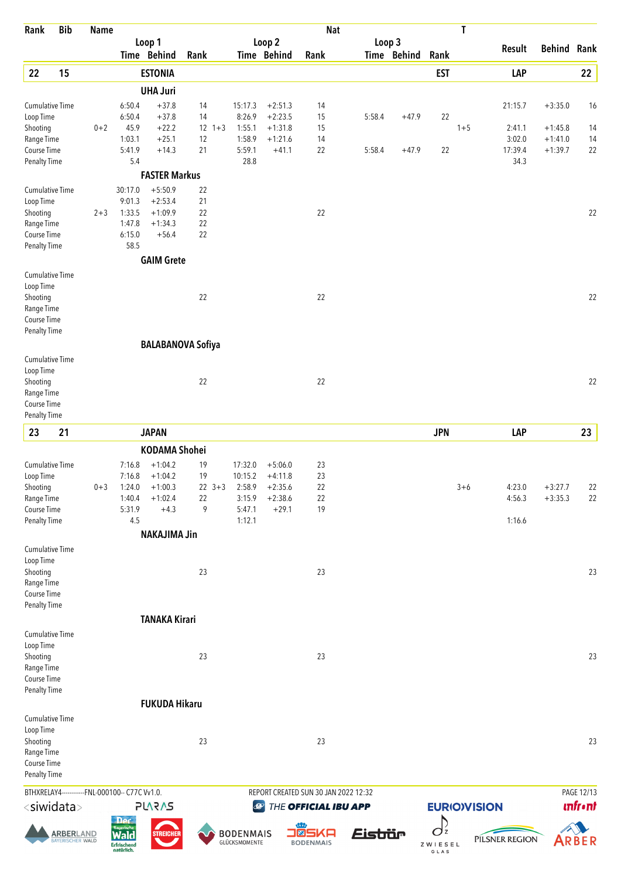| Rank                                | <b>Bib</b>                           | <b>Name</b> |                                                |                               |          |            |                                   |                        | <b>Nat</b>                |                                      |             |                    | T       |                  |                        |                |
|-------------------------------------|--------------------------------------|-------------|------------------------------------------------|-------------------------------|----------|------------|-----------------------------------|------------------------|---------------------------|--------------------------------------|-------------|--------------------|---------|------------------|------------------------|----------------|
|                                     |                                      |             |                                                | Loop 1                        |          |            |                                   | Loop 2                 |                           |                                      | Loop 3      |                    |         | <b>Result</b>    | <b>Behind Rank</b>     |                |
|                                     |                                      |             |                                                | Time Behind                   | Rank     |            |                                   | Time Behind            | Rank                      |                                      | Time Behind | Rank               |         |                  |                        |                |
| 22                                  | 15                                   |             |                                                | <b>ESTONIA</b>                |          |            |                                   |                        |                           |                                      |             | <b>EST</b>         |         | LAP              |                        | $22\,$         |
|                                     |                                      |             |                                                | <b>UHA Juri</b>               |          |            |                                   |                        |                           |                                      |             |                    |         |                  |                        |                |
| <b>Cumulative Time</b><br>Loop Time |                                      |             | 6:50.4<br>6:50.4                               | $+37.8$<br>$+37.8$            | 14<br>14 |            | 15:17.3<br>8:26.9                 | $+2:51.3$<br>$+2:23.5$ | 14<br>15                  | 5:58.4                               | $+47.9$     | 22                 |         | 21:15.7          | $+3:35.0$              | 16             |
| Shooting                            |                                      | $0 + 2$     | 45.9                                           | $+22.2$                       |          | $12 + 3$   | 1:55.1                            | $+1:31.8$              | 15                        |                                      |             |                    | $1 + 5$ | 2:41.1           | $+1:45.8$              | 14             |
| Range Time                          |                                      |             | 1:03.1                                         | $+25.1$                       | 12       |            | 1:58.9                            | $+1:21.6$              | 14                        |                                      |             |                    |         | 3:02.0           | $+1:41.0$              | 14             |
| Course Time                         |                                      |             | 5:41.9                                         | $+14.3$                       | 21       |            | 5:59.1                            | $+41.1$                | 22                        | 5:58.4                               | $+47.9$     | 22                 |         | 17:39.4          | $+1:39.7$              | 22             |
| <b>Penalty Time</b>                 |                                      |             | 5.4                                            | <b>FASTER Markus</b>          |          |            | 28.8                              |                        |                           |                                      |             |                    |         | 34.3             |                        |                |
| <b>Cumulative Time</b>              |                                      |             | 30:17.0                                        | $+5:50.9$                     | 22       |            |                                   |                        |                           |                                      |             |                    |         |                  |                        |                |
| Loop Time                           |                                      |             | 9:01.3                                         | $+2:53.4$                     | 21       |            |                                   |                        |                           |                                      |             |                    |         |                  |                        |                |
| Shooting                            |                                      | $2 + 3$     | 1:33.5                                         | $+1:09.9$                     | 22       |            |                                   |                        | 22                        |                                      |             |                    |         |                  |                        | 22             |
| Range Time                          |                                      |             | 1:47.8                                         | $+1:34.3$                     | 22       |            |                                   |                        |                           |                                      |             |                    |         |                  |                        |                |
| Course Time                         |                                      |             | 6:15.0                                         | $+56.4$                       | 22       |            |                                   |                        |                           |                                      |             |                    |         |                  |                        |                |
| <b>Penalty Time</b>                 |                                      |             | 58.5                                           | <b>GAIM Grete</b>             |          |            |                                   |                        |                           |                                      |             |                    |         |                  |                        |                |
| Cumulative Time                     |                                      |             |                                                |                               |          |            |                                   |                        |                           |                                      |             |                    |         |                  |                        |                |
| Loop Time                           |                                      |             |                                                |                               |          |            |                                   |                        |                           |                                      |             |                    |         |                  |                        |                |
| Shooting                            |                                      |             |                                                |                               | 22       |            |                                   |                        | 22                        |                                      |             |                    |         |                  |                        | 22             |
| Range Time                          |                                      |             |                                                |                               |          |            |                                   |                        |                           |                                      |             |                    |         |                  |                        |                |
| Course Time                         |                                      |             |                                                |                               |          |            |                                   |                        |                           |                                      |             |                    |         |                  |                        |                |
| <b>Penalty Time</b>                 |                                      |             |                                                |                               |          |            |                                   |                        |                           |                                      |             |                    |         |                  |                        |                |
| Cumulative Time                     |                                      |             |                                                | <b>BALABANOVA Sofiya</b>      |          |            |                                   |                        |                           |                                      |             |                    |         |                  |                        |                |
| Loop Time                           |                                      |             |                                                |                               |          |            |                                   |                        |                           |                                      |             |                    |         |                  |                        |                |
| Shooting                            |                                      |             |                                                |                               | 22       |            |                                   |                        | 22                        |                                      |             |                    |         |                  |                        | 22             |
| Range Time                          |                                      |             |                                                |                               |          |            |                                   |                        |                           |                                      |             |                    |         |                  |                        |                |
| Course Time                         |                                      |             |                                                |                               |          |            |                                   |                        |                           |                                      |             |                    |         |                  |                        |                |
| <b>Penalty Time</b>                 |                                      |             |                                                |                               |          |            |                                   |                        |                           |                                      |             |                    |         |                  |                        |                |
| 23                                  | 21                                   |             |                                                | <b>JAPAN</b>                  |          |            |                                   |                        |                           |                                      |             | <b>JPN</b>         |         | LAP              |                        | 23             |
|                                     |                                      |             |                                                | <b>KODAMA Shohei</b>          |          |            |                                   |                        |                           |                                      |             |                    |         |                  |                        |                |
| <b>Cumulative Time</b>              |                                      |             | 7:16.8                                         | $+1:04.2$                     | 19       |            | 17:32.0                           | $+5:06.0$              | 23                        |                                      |             |                    |         |                  |                        |                |
| Loop Time                           |                                      |             | 7:16.8                                         | $+1:04.2$                     | 19       | $22 \t3+3$ | 10:15.2<br>2:58.9                 | $+4:11.8$              | 23<br>22                  |                                      |             |                    |         |                  |                        |                |
| Shooting<br>Range Time              |                                      | $0 + 3$     | 1:40.4                                         | $1:24.0 +1:00.3$<br>$+1:02.4$ | 22       |            | 3:15.9                            | $+2:35.6$<br>$+2:38.6$ | 22                        |                                      |             |                    | $3 + 6$ | 4:23.0<br>4:56.3 | $+3:27.7$<br>$+3:35.3$ | 22<br>22       |
| Course Time                         |                                      |             | 5:31.9                                         | $+4.3$                        | 9        |            | 5:47.1                            | $+29.1$                | 19                        |                                      |             |                    |         |                  |                        |                |
| <b>Penalty Time</b>                 |                                      |             | 4.5                                            |                               |          |            | 1:12.1                            |                        |                           |                                      |             |                    |         | 1:16.6           |                        |                |
|                                     |                                      |             |                                                | <b>NAKAJIMA Jin</b>           |          |            |                                   |                        |                           |                                      |             |                    |         |                  |                        |                |
| Cumulative Time                     |                                      |             |                                                |                               |          |            |                                   |                        |                           |                                      |             |                    |         |                  |                        |                |
| Loop Time<br>Shooting               |                                      |             |                                                |                               | 23       |            |                                   |                        | 23                        |                                      |             |                    |         |                  |                        | 23             |
| Range Time                          |                                      |             |                                                |                               |          |            |                                   |                        |                           |                                      |             |                    |         |                  |                        |                |
| Course Time                         |                                      |             |                                                |                               |          |            |                                   |                        |                           |                                      |             |                    |         |                  |                        |                |
| <b>Penalty Time</b>                 |                                      |             |                                                |                               |          |            |                                   |                        |                           |                                      |             |                    |         |                  |                        |                |
|                                     |                                      |             |                                                | <b>TANAKA Kirari</b>          |          |            |                                   |                        |                           |                                      |             |                    |         |                  |                        |                |
| Cumulative Time                     |                                      |             |                                                |                               |          |            |                                   |                        |                           |                                      |             |                    |         |                  |                        |                |
| Loop Time                           |                                      |             |                                                |                               | 23       |            |                                   |                        | 23                        |                                      |             |                    |         |                  |                        | 23             |
| Shooting<br>Range Time              |                                      |             |                                                |                               |          |            |                                   |                        |                           |                                      |             |                    |         |                  |                        |                |
| Course Time                         |                                      |             |                                                |                               |          |            |                                   |                        |                           |                                      |             |                    |         |                  |                        |                |
| Penalty Time                        |                                      |             |                                                |                               |          |            |                                   |                        |                           |                                      |             |                    |         |                  |                        |                |
|                                     |                                      |             |                                                | <b>FUKUDA Hikaru</b>          |          |            |                                   |                        |                           |                                      |             |                    |         |                  |                        |                |
| Cumulative Time                     |                                      |             |                                                |                               |          |            |                                   |                        |                           |                                      |             |                    |         |                  |                        |                |
| Loop Time                           |                                      |             |                                                |                               |          |            |                                   |                        |                           |                                      |             |                    |         |                  |                        |                |
| Shooting<br>Range Time              |                                      |             |                                                |                               | 23       |            |                                   |                        | 23                        |                                      |             |                    |         |                  |                        | 23             |
| Course Time                         |                                      |             |                                                |                               |          |            |                                   |                        |                           |                                      |             |                    |         |                  |                        |                |
| Penalty Time                        |                                      |             |                                                |                               |          |            |                                   |                        |                           |                                      |             |                    |         |                  |                        |                |
|                                     |                                      |             | BTHXRELAY4------------FNL-000100-- C77C Vv1.0. |                               |          |            |                                   |                        |                           | REPORT CREATED SUN 30 JAN 2022 12:32 |             |                    |         |                  |                        | PAGE 12/13     |
| <siwidata></siwidata>               |                                      |             |                                                | <b>SVSVJS</b>                 |          |            | $\bigcirc$                        |                        | THE OFFICIAL IBU APP      |                                      |             | <b>EURIOVISION</b> |         |                  |                        | <b>unfront</b> |
|                                     |                                      |             | <b>Der</b>                                     |                               |          |            |                                   |                        |                           |                                      |             | D                  |         |                  |                        |                |
|                                     | <b>ARBERLAND</b><br>BAYERISCHER WALD |             | <b>Rayerische</b>                              | <b>STREICHER</b>              |          |            | <b>BODENMAIS</b><br>GLÜCKSMOMENTE |                        | O®SKA<br><b>BODENMAIS</b> | Eistiür                              |             | $\sigma^2$         |         | PILSNER REGION   |                        | ARBER          |
|                                     |                                      |             | Erfrischend<br>natürlich.                      |                               |          |            |                                   |                        |                           |                                      |             | ZWIESEL<br>GLAS    |         |                  |                        |                |